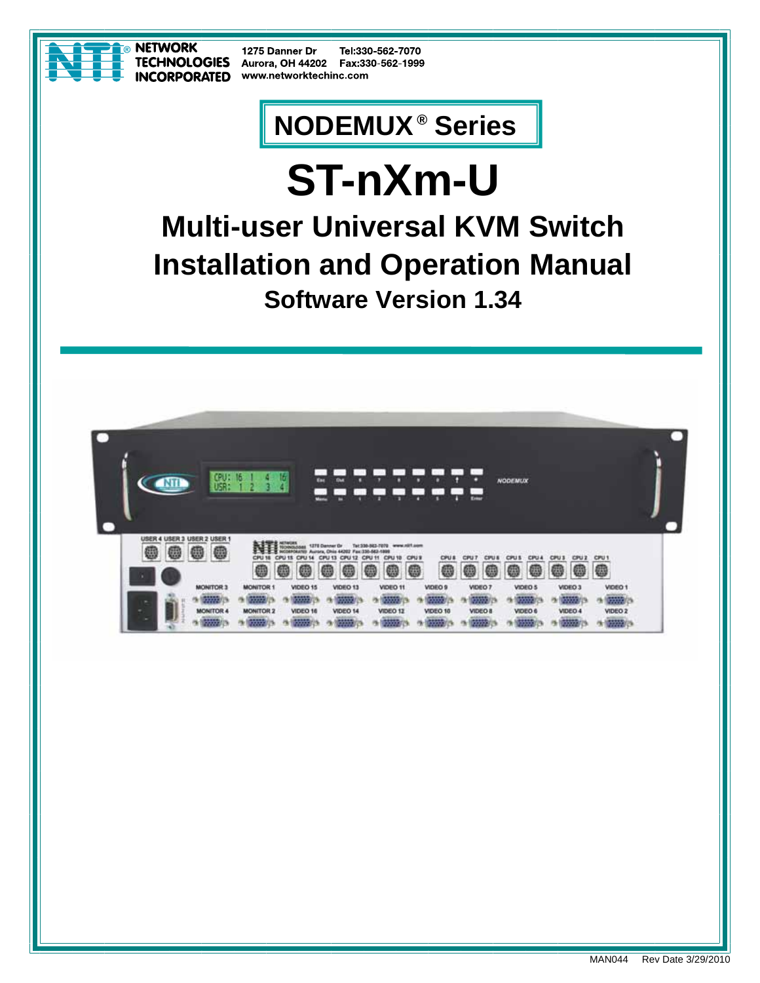

1275 Danner Dr Tel:330-562-7070 Aurora, OH 44202 Fax:330-562-1999 www.networktechinc.com

# **NODEMUX ® Series**

# **ST-nXm-U Multi-user Universal KVM Switch Installation and Operation Manual Software Version 1.34**

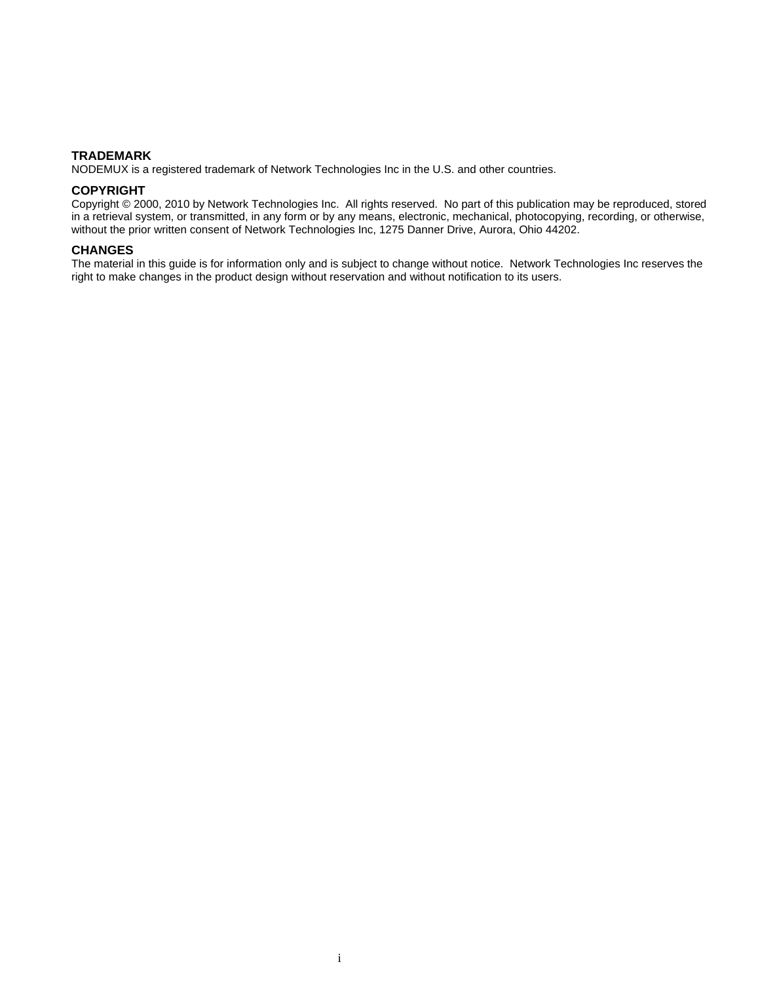#### **TRADEMARK**

NODEMUX is a registered trademark of Network Technologies Inc in the U.S. and other countries.

#### **COPYRIGHT**

Copyright © 2000, 2010 by Network Technologies Inc. All rights reserved. No part of this publication may be reproduced, stored in a retrieval system, or transmitted, in any form or by any means, electronic, mechanical, photocopying, recording, or otherwise, without the prior written consent of Network Technologies Inc, 1275 Danner Drive, Aurora, Ohio 44202.

#### **CHANGES**

The material in this guide is for information only and is subject to change without notice. Network Technologies Inc reserves the right to make changes in the product design without reservation and without notification to its users.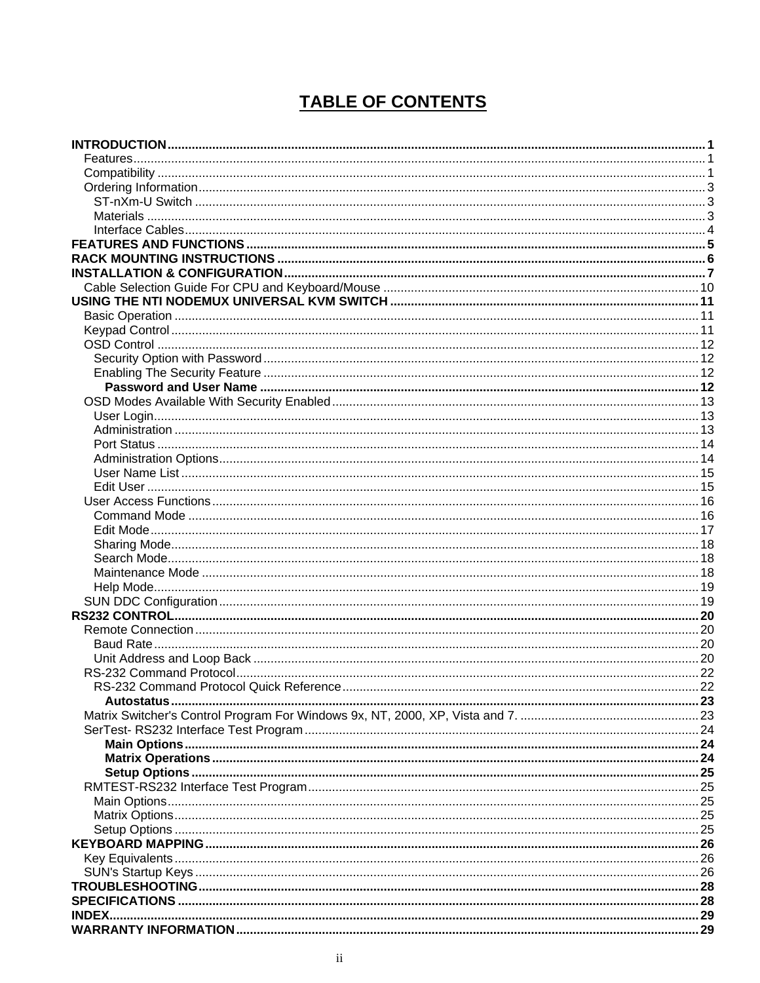## **TABLE OF CONTENTS**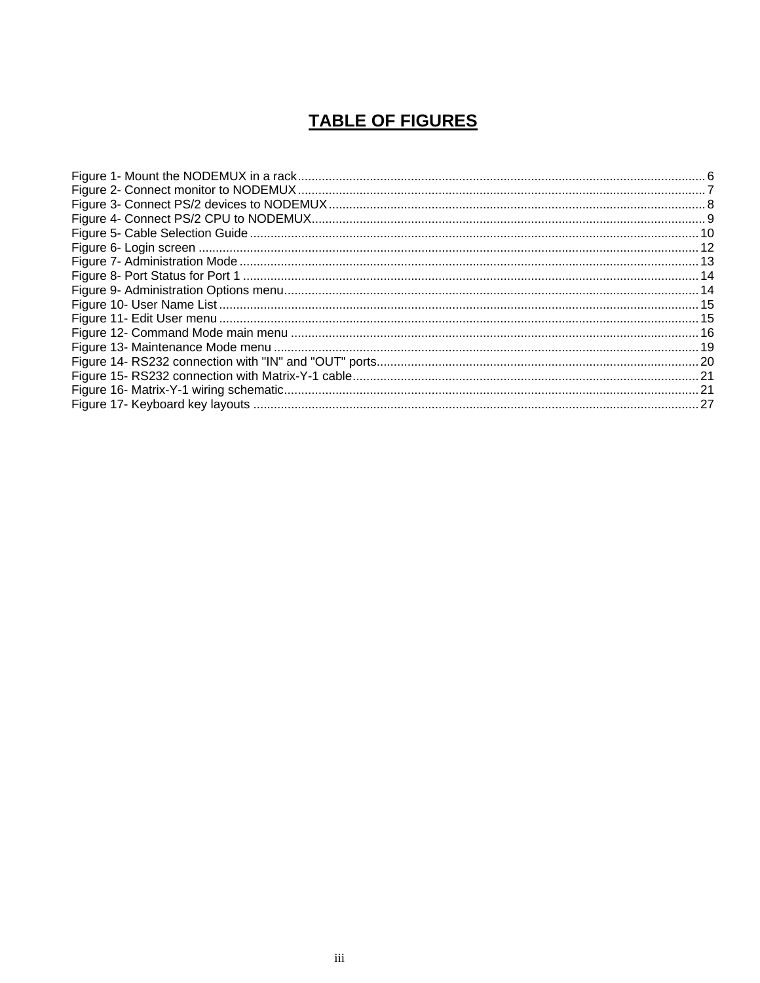### **TABLE OF FIGURES**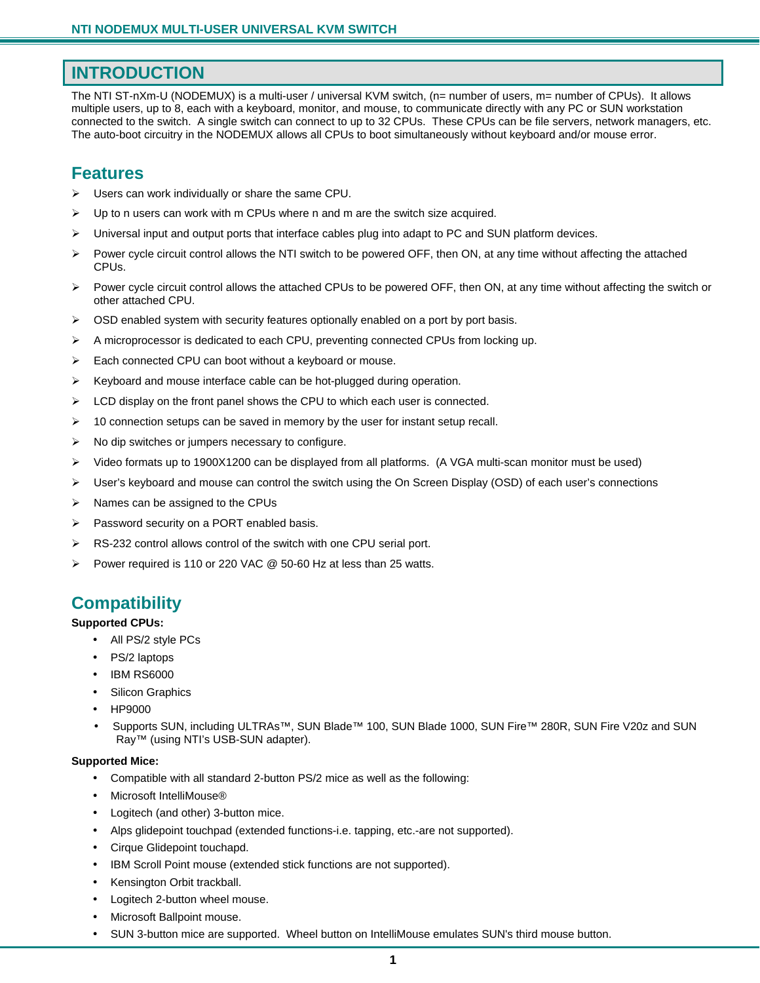### **INTRODUCTION**

The NTI ST-nXm-U (NODEMUX) is a multi-user / universal KVM switch, (n= number of users, m= number of CPUs). It allows multiple users, up to 8, each with a keyboard, monitor, and mouse, to communicate directly with any PC or SUN workstation connected to the switch. A single switch can connect to up to 32 CPUs. These CPUs can be file servers, network managers, etc. The auto-boot circuitry in the NODEMUX allows all CPUs to boot simultaneously without keyboard and/or mouse error.

### **Features**

- $\triangleright$  Users can work individually or share the same CPU.
- $\triangleright$  Up to n users can work with m CPUs where n and m are the switch size acquired.
- $\blacktriangleright$  Universal input and output ports that interface cables plug into adapt to PC and SUN platform devices.
- $\triangleright$  Power cycle circuit control allows the NTI switch to be powered OFF, then ON, at any time without affecting the attached CPUs.
- ¾ Power cycle circuit control allows the attached CPUs to be powered OFF, then ON, at any time without affecting the switch or other attached CPU.
- $\triangleright$  OSD enabled system with security features optionally enabled on a port by port basis.
- ¾ A microprocessor is dedicated to each CPU, preventing connected CPUs from locking up.
- ¾ Each connected CPU can boot without a keyboard or mouse.
- ¾ Keyboard and mouse interface cable can be hot-plugged during operation.
- ¾ LCD display on the front panel shows the CPU to which each user is connected.
- $\triangleright$  10 connection setups can be saved in memory by the user for instant setup recall.
- $\triangleright$  No dip switches or jumpers necessary to configure.
- ¾ Video formats up to 1900X1200 can be displayed from all platforms. (A VGA multi-scan monitor must be used)
- ¾ User's keyboard and mouse can control the switch using the On Screen Display (OSD) of each user's connections
- $\triangleright$  Names can be assigned to the CPUs
- $\triangleright$  Password security on a PORT enabled basis.
- $\triangleright$  RS-232 control allows control of the switch with one CPU serial port.
- Power required is 110 or 220 VAC @ 50-60 Hz at less than 25 watts.

### **Compatibility**

#### **Supported CPUs:**

- All PS/2 style PCs
- PS/2 laptops
- IBM RS6000
- Silicon Graphics
- HP9000
- Supports SUN, including ULTRAs™, SUN Blade™ 100, SUN Blade 1000, SUN Fire™ 280R, SUN Fire V20z and SUN Ray™ (using NTI's USB-SUN adapter).

#### **Supported Mice:**

- Compatible with all standard 2-button PS/2 mice as well as the following:
- Microsoft IntelliMouse®
- Logitech (and other) 3-button mice.
- Alps glidepoint touchpad (extended functions-i.e. tapping, etc.-are not supported).
- Cirque Glidepoint touchapd.
- IBM Scroll Point mouse (extended stick functions are not supported).
- Kensington Orbit trackball.
- Logitech 2-button wheel mouse.
- Microsoft Ballpoint mouse.
- SUN 3-button mice are supported. Wheel button on IntelliMouse emulates SUN's third mouse button.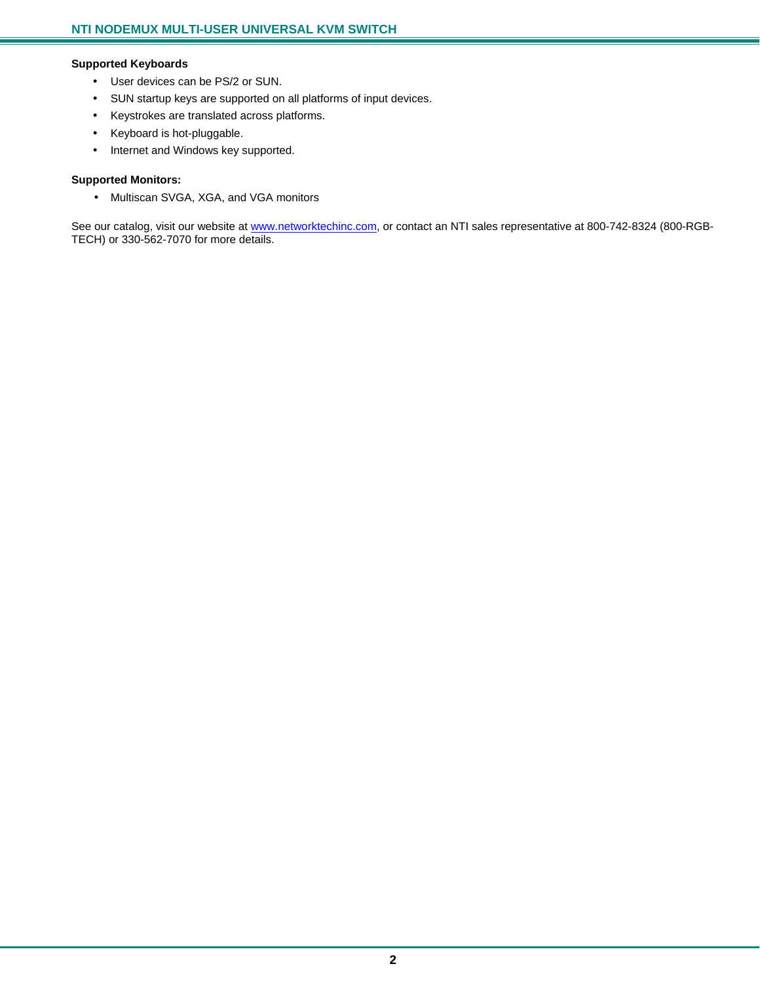#### **Supported Keyboards**

- User devices can be PS/2 or SUN.
- SUN startup keys are supported on all platforms of input devices.
- Keystrokes are translated across platforms.
- Keyboard is hot-pluggable.
- Internet and Windows key supported.

#### **Supported Monitors:**

• Multiscan SVGA, XGA, and VGA monitors

See our catalog, visit our website at www.networktechinc.com, or contact an NTI sales representative at 800-742-8324 (800-RGB-TECH) or 330-562-7070 for more details.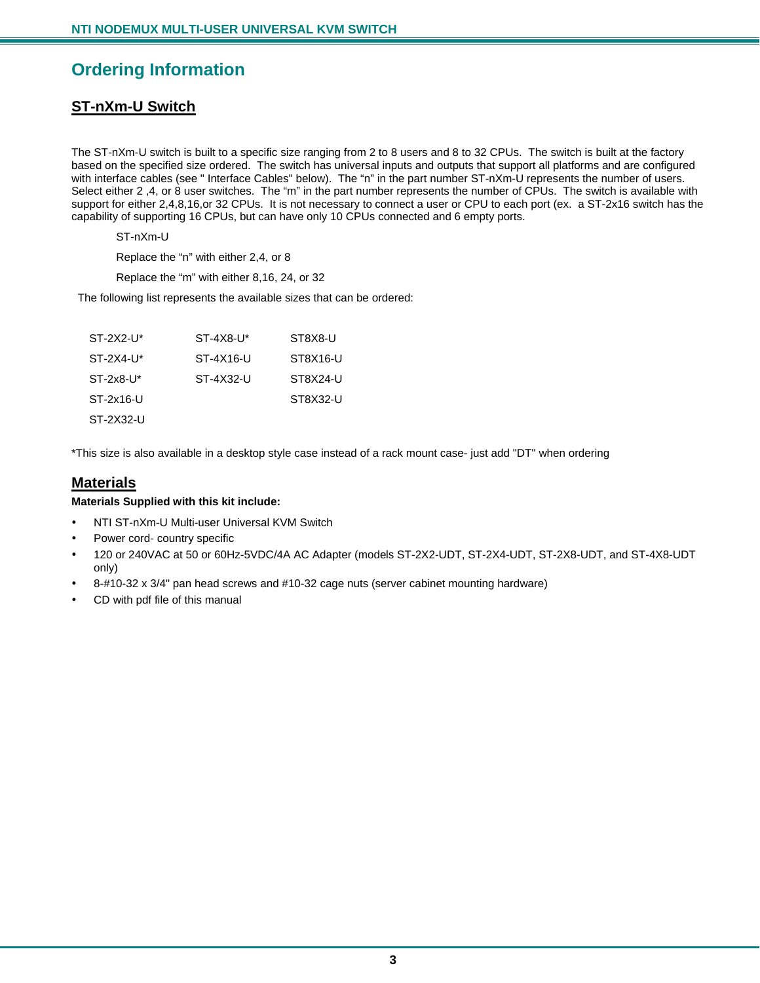### **Ordering Information**

### **ST-nXm-U Switch**

The ST-nXm-U switch is built to a specific size ranging from 2 to 8 users and 8 to 32 CPUs. The switch is built at the factory based on the specified size ordered. The switch has universal inputs and outputs that support all platforms and are configured with interface cables (see " Interface Cables" below). The "n" in the part number ST-nXm-U represents the number of users. Select either 2,4, or 8 user switches. The "m" in the part number represents the number of CPUs. The switch is available with support for either 2,4,8,16,or 32 CPUs. It is not necessary to connect a user or CPU to each port (ex. a ST-2x16 switch has the capability of supporting 16 CPUs, but can have only 10 CPUs connected and 6 empty ports.

ST-nXm-U

Replace the "n" with either 2,4, or 8

Replace the "m" with either 8,16, 24, or 32

The following list represents the available sizes that can be ordered:

| $ST-2X2-U^*$ | $ST-4X8-1$ | ST8X8-U  |
|--------------|------------|----------|
| $ST-2X4-U^*$ | ST-4X16-U  | ST8X16-U |
| $ST-2x8-U^*$ | ST-4X32-U  | ST8X24-U |
| ST-2x16-U    |            | ST8X32-U |
| ST-2X32-U    |            |          |

\*This size is also available in a desktop style case instead of a rack mount case- just add "DT" when ordering

#### **Materials**

#### **Materials Supplied with this kit include:**

- NTI ST-nXm-U Multi-user Universal KVM Switch
- Power cord- country specific
- 120 or 240VAC at 50 or 60Hz-5VDC/4A AC Adapter (models ST-2X2-UDT, ST-2X4-UDT, ST-2X8-UDT, and ST-4X8-UDT only)
- 8-#10-32 x 3/4" pan head screws and #10-32 cage nuts (server cabinet mounting hardware)
- CD with pdf file of this manual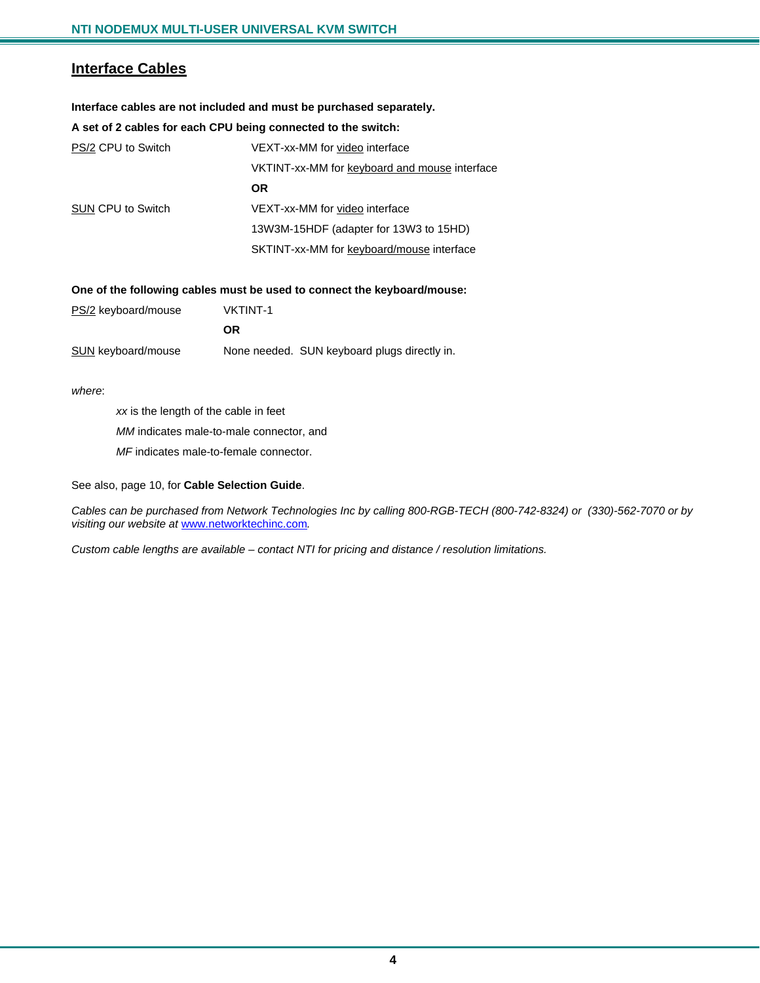#### **Interface Cables**

#### **Interface cables are not included and must be purchased separately.**

#### **A set of 2 cables for each CPU being connected to the switch:**

| PS/2 CPU to Switch       | VEXT-xx-MM for video interface                |
|--------------------------|-----------------------------------------------|
|                          | VKTINT-xx-MM for keyboard and mouse interface |
|                          | <b>OR</b>                                     |
| <b>SUN CPU to Switch</b> | VEXT-xx-MM for video interface                |
|                          | 13W3M-15HDF (adapter for 13W3 to 15HD)        |
|                          | SKTINT-xx-MM for keyboard/mouse interface     |

#### **One of the following cables must be used to connect the keyboard/mouse:**

| PS/2 keyboard/mouse       | <b>VKTINT-1</b> |                                              |
|---------------------------|-----------------|----------------------------------------------|
|                           | 0R.             |                                              |
| <b>SUN</b> keyboard/mouse |                 | None needed. SUN keyboard plugs directly in. |

*where*:

*xx* is the length of the cable in feet

*MM* indicates male-to-male connector, and

*MF* indicates male-to-female connector.

#### See also, page 10, for **Cable Selection Guide**.

*Cables can be purchased from Network Technologies Inc by calling 800-RGB-TECH (800-742-8324) or (330)-562-7070 or by visiting our website at* www.networktechinc.com*.* 

*Custom cable lengths are available – contact NTI for pricing and distance / resolution limitations.*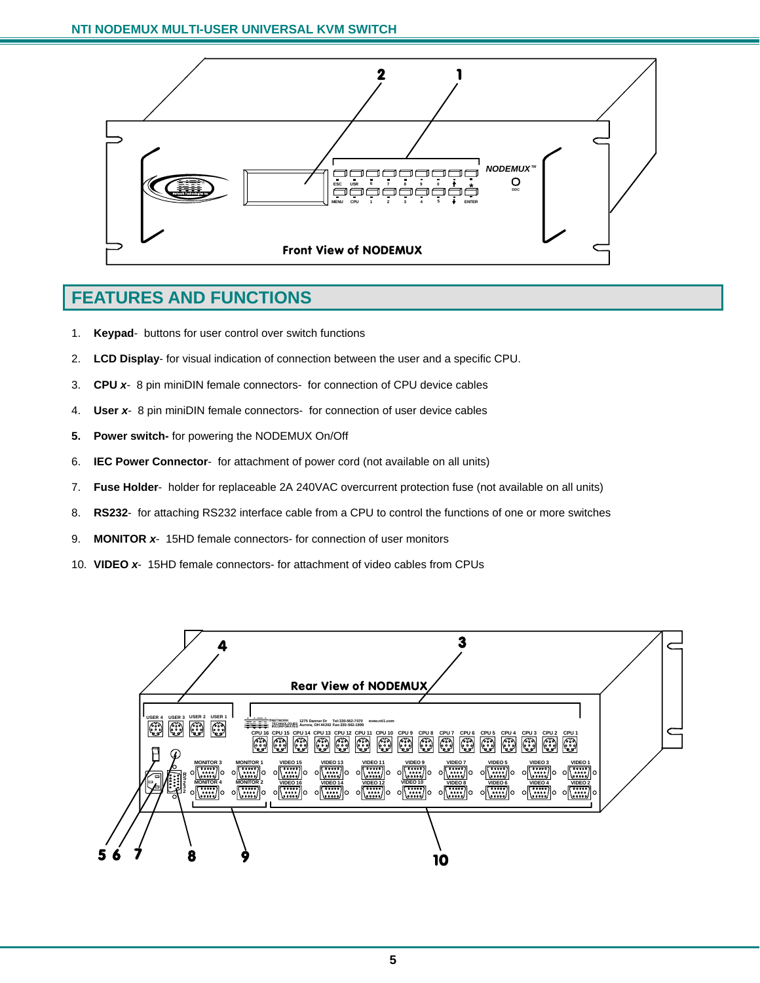

### **FEATURES AND FUNCTIONS**

- 1. **Keypad** buttons for user control over switch functions
- 2. **LCD Display** for visual indication of connection between the user and a specific CPU.
- 3. **CPU** *x* 8 pin miniDIN female connectors- for connection of CPU device cables
- 4. **User** *x* 8 pin miniDIN female connectors- for connection of user device cables
- **5. Power switch-** for powering the NODEMUX On/Off
- 6. **IEC Power Connector** for attachment of power cord (not available on all units)
- 7. **Fuse Holder** holder for replaceable 2A 240VAC overcurrent protection fuse (not available on all units)
- 8. **RS232** for attaching RS232 interface cable from a CPU to control the functions of one or more switches
- 9. **MONITOR** *x* 15HD female connectors- for connection of user monitors
- 10. **VIDEO** *x* 15HD female connectors- for attachment of video cables from CPUs

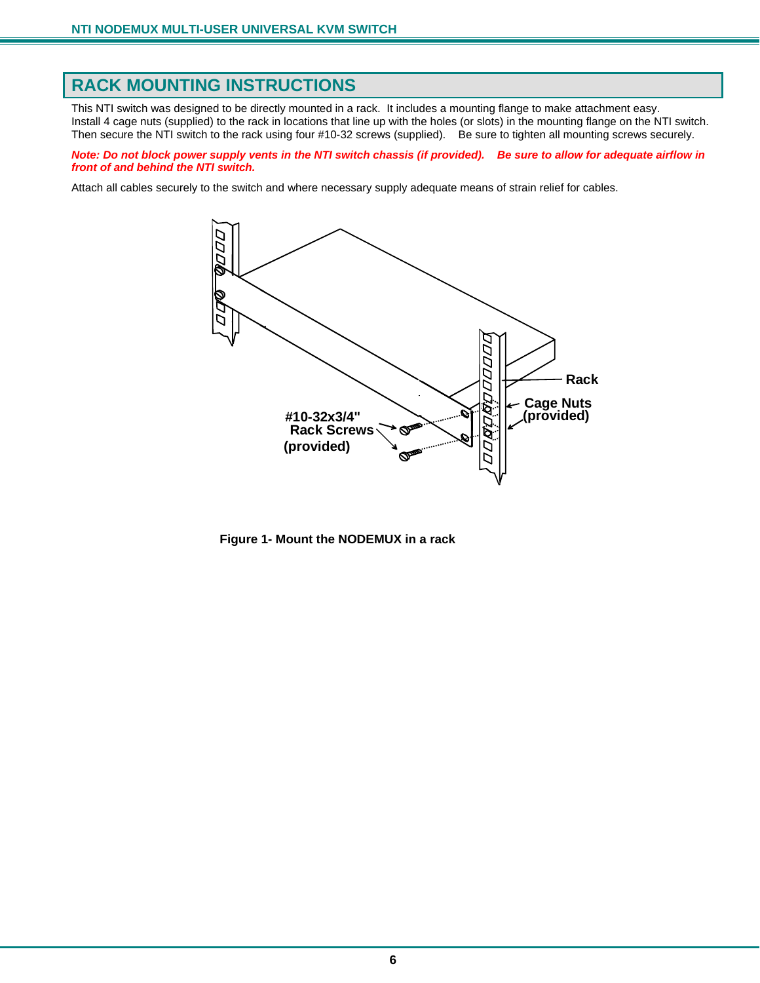### **RACK MOUNTING INSTRUCTIONS**

This NTI switch was designed to be directly mounted in a rack. It includes a mounting flange to make attachment easy. Install 4 cage nuts (supplied) to the rack in locations that line up with the holes (or slots) in the mounting flange on the NTI switch. Then secure the NTI switch to the rack using four #10-32 screws (supplied). Be sure to tighten all mounting screws securely.

*Note: Do not block power supply vents in the NTI switch chassis (if provided). Be sure to allow for adequate airflow in front of and behind the NTI switch.* 

Attach all cables securely to the switch and where necessary supply adequate means of strain relief for cables.



 **Figure 1- Mount the NODEMUX in a rack**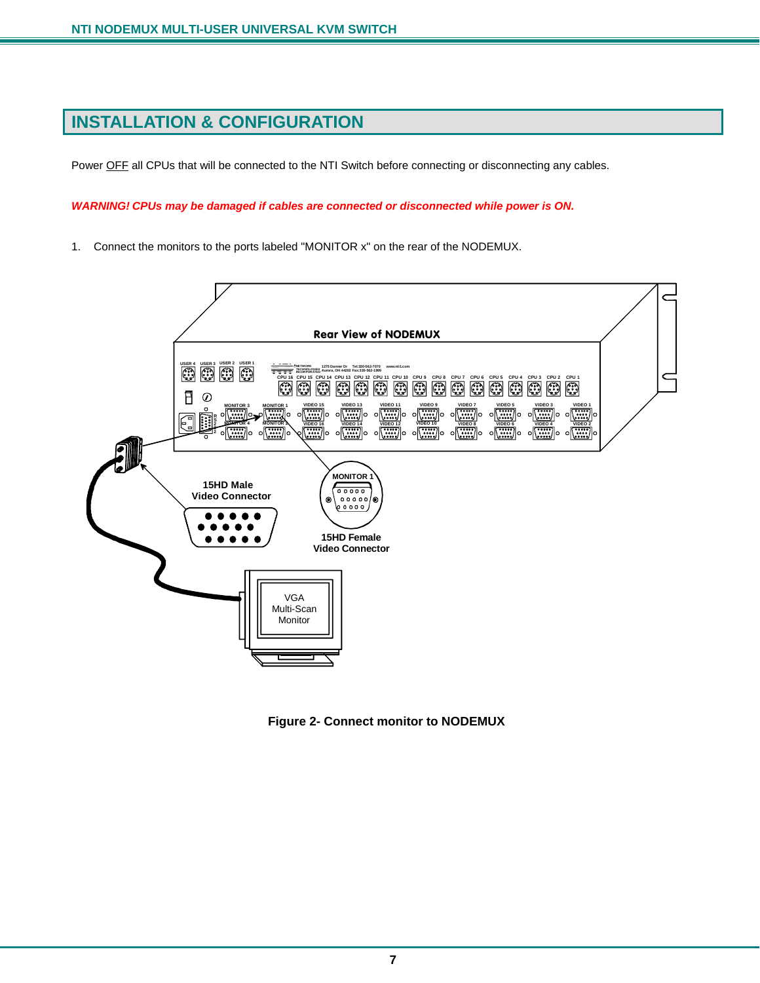### **INSTALLATION & CONFIGURATION**

Power OFF all CPUs that will be connected to the NTI Switch before connecting or disconnecting any cables.

*WARNING! CPUs may be damaged if cables are connected or disconnected while power is ON.* 

1. Connect the monitors to the ports labeled "MONITOR x" on the rear of the NODEMUX.



 **Figure 2- Connect monitor to NODEMUX**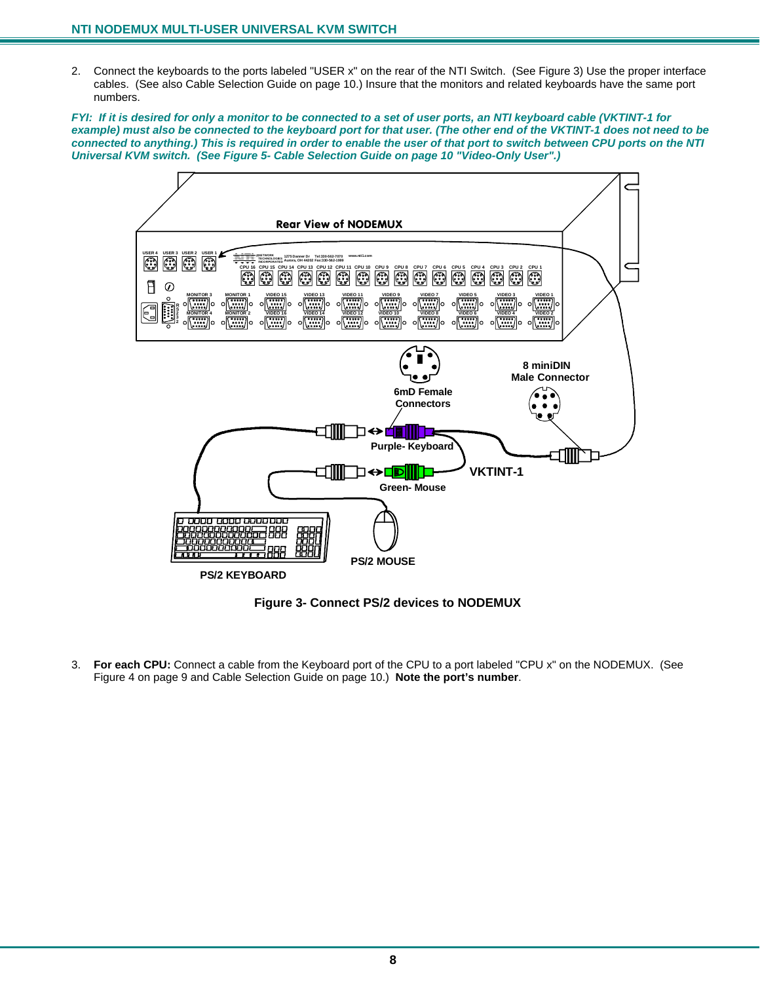2. Connect the keyboards to the ports labeled "USER x" on the rear of the NTI Switch. (See Figure 3) Use the proper interface cables. (See also Cable Selection Guide on page 10.) Insure that the monitors and related keyboards have the same port numbers.

*FYI: If it is desired for only a monitor to be connected to a set of user ports, an NTI keyboard cable (VKTINT-1 for example) must also be connected to the keyboard port for that user. (The other end of the VKTINT-1 does not need to be connected to anything.) This is required in order to enable the user of that port to switch between CPU ports on the NTI Universal KVM switch. (See Figure 5- Cable Selection Guide on page 10 "Video-Only User".)* 



 **Figure 3- Connect PS/2 devices to NODEMUX** 

3. **For each CPU:** Connect a cable from the Keyboard port of the CPU to a port labeled "CPU x" on the NODEMUX. (See Figure 4 on page 9 and Cable Selection Guide on page 10.) **Note the port's number**.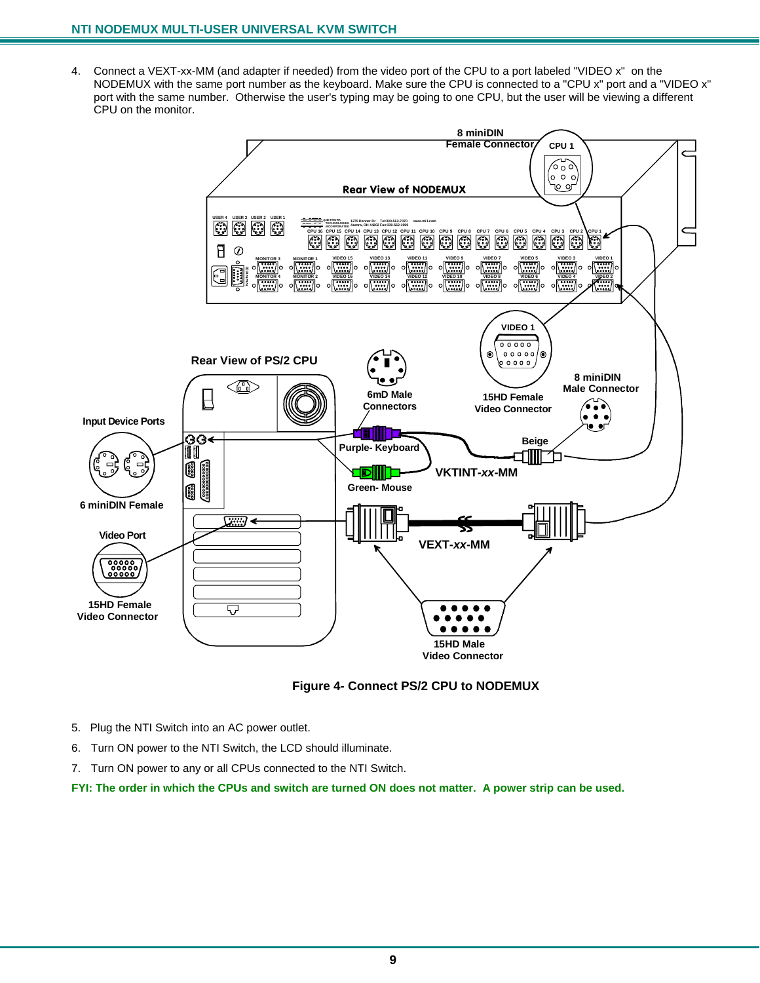4. Connect a VEXT-xx-MM (and adapter if needed) from the video port of the CPU to a port labeled "VIDEO x" on the NODEMUX with the same port number as the keyboard. Make sure the CPU is connected to a "CPU x" port and a "VIDEO x" port with the same number. Otherwise the user's typing may be going to one CPU, but the user will be viewing a different CPU on the monitor.



#### **Figure 4- Connect PS/2 CPU to NODEMUX**

- 5. Plug the NTI Switch into an AC power outlet.
- 6. Turn ON power to the NTI Switch, the LCD should illuminate.
- 7. Turn ON power to any or all CPUs connected to the NTI Switch.

**FYI: The order in which the CPUs and switch are turned ON does not matter. A power strip can be used.**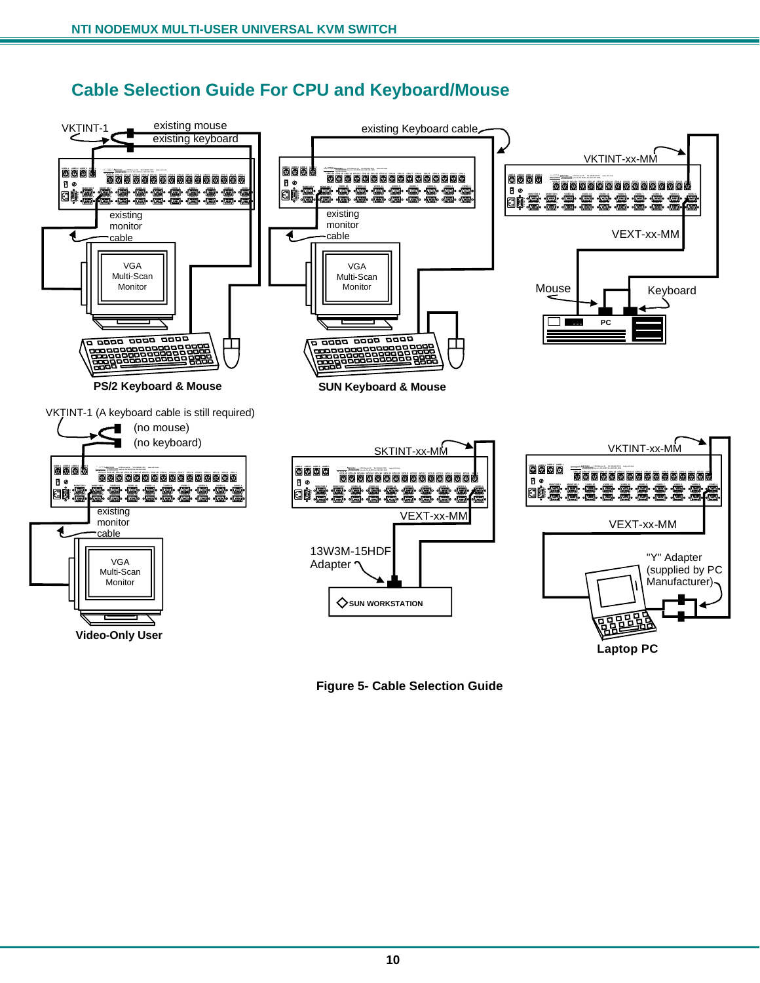### **Cable Selection Guide For CPU and Keyboard/Mouse**



 **Figure 5- Cable Selection Guide**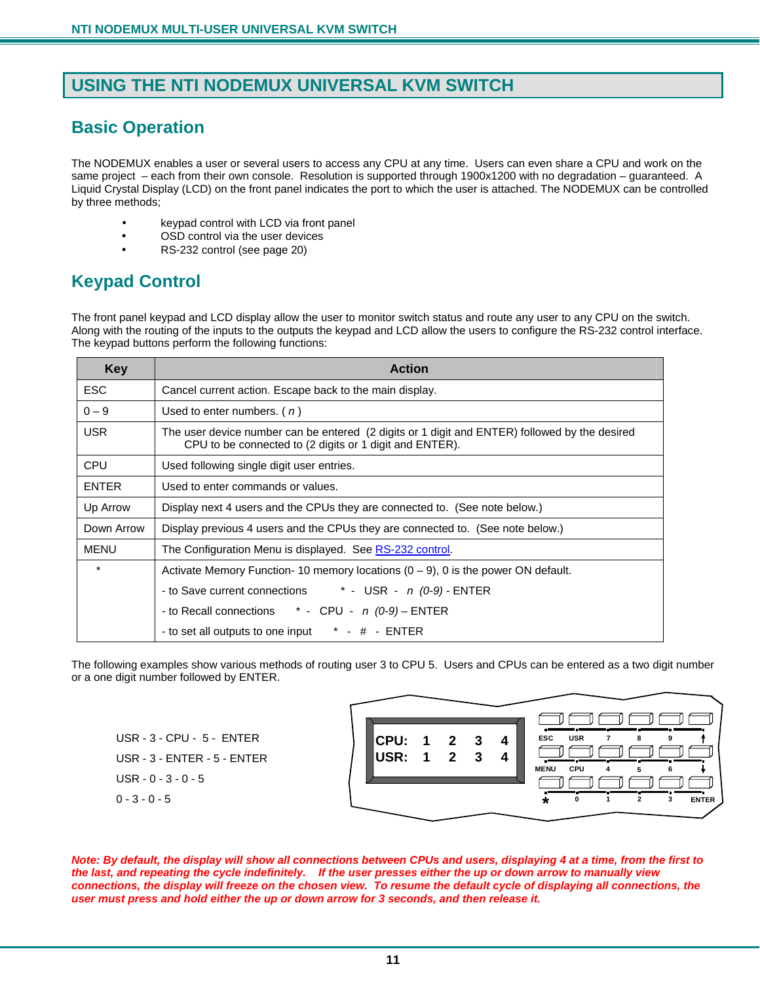### **USING THE NTI NODEMUX UNIVERSAL KVM SWITCH**

### **Basic Operation**

The NODEMUX enables a user or several users to access any CPU at any time. Users can even share a CPU and work on the same project – each from their own console. Resolution is supported through 1900x1200 with no degradation – guaranteed. A Liquid Crystal Display (LCD) on the front panel indicates the port to which the user is attached. The NODEMUX can be controlled by three methods;

- keypad control with LCD via front panel
- OSD control via the user devices
- RS-232 control (see page 20)

### **Keypad Control**

The front panel keypad and LCD display allow the user to monitor switch status and route any user to any CPU on the switch. Along with the routing of the inputs to the outputs the keypad and LCD allow the users to configure the RS-232 control interface. The keypad buttons perform the following functions:

| <b>Key</b>   | <b>Action</b>                                                                                                                                            |  |  |  |  |
|--------------|----------------------------------------------------------------------------------------------------------------------------------------------------------|--|--|--|--|
| <b>ESC</b>   | Cancel current action. Escape back to the main display.                                                                                                  |  |  |  |  |
| $0 - 9$      | Used to enter numbers. $(n)$                                                                                                                             |  |  |  |  |
| <b>USR</b>   | The user device number can be entered (2 digits or 1 digit and ENTER) followed by the desired<br>CPU to be connected to (2 digits or 1 digit and ENTER). |  |  |  |  |
| CPU          | Used following single digit user entries.                                                                                                                |  |  |  |  |
| <b>ENTER</b> | Used to enter commands or values.                                                                                                                        |  |  |  |  |
| Up Arrow     | Display next 4 users and the CPUs they are connected to. (See note below.)                                                                               |  |  |  |  |
| Down Arrow   | Display previous 4 users and the CPUs they are connected to. (See note below.)                                                                           |  |  |  |  |
| <b>MENU</b>  | The Configuration Menu is displayed. See RS-232 control.                                                                                                 |  |  |  |  |
| $\star$      | Activate Memory Function-10 memory locations $(0 - 9)$ , 0 is the power ON default.                                                                      |  |  |  |  |
|              | - to Save current connections $*$ - USR - $n$ (0-9) - ENTER                                                                                              |  |  |  |  |
|              | - to Recall connections $*$ - CPU - $n(0-9)$ – ENTER                                                                                                     |  |  |  |  |
|              | - to set all outputs to one input * - # - ENTER                                                                                                          |  |  |  |  |

The following examples show various methods of routing user 3 to CPU 5. Users and CPUs can be entered as a two digit number or a one digit number followed by ENTER.

USR - 3 - CPU - 5 - ENTER USR - 3 - ENTER - 5 - ENTER USR - 0 - 3 - 0 - 5 0 - 3 - 0 - 5

| CPU: 1 2 3<br>USR: 1 2 3 |  |  | <b>USR</b><br><b>ESC</b><br>$\overline{7}$<br>8<br><b>CPU</b><br><b>MENU</b><br>4 |
|--------------------------|--|--|-----------------------------------------------------------------------------------|
|                          |  |  | з<br><b>ENTER</b><br>2                                                            |

*Note: By default, the display will show all connections between CPUs and users, displaying 4 at a time, from the first to the last, and repeating the cycle indefinitely. If the user presses either the up or down arrow to manually view connections, the display will freeze on the chosen view. To resume the default cycle of displaying all connections, the user must press and hold either the up or down arrow for 3 seconds, and then release it.*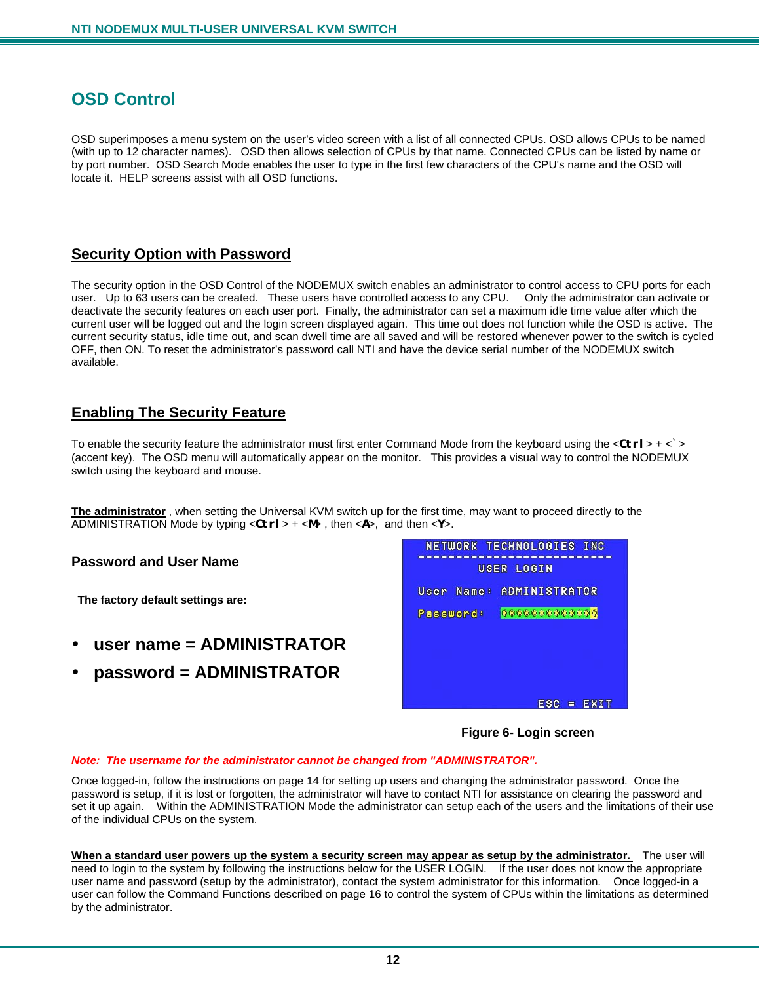### **OSD Control**

OSD superimposes a menu system on the user's video screen with a list of all connected CPUs. OSD allows CPUs to be named (with up to 12 character names). OSD then allows selection of CPUs by that name. Connected CPUs can be listed by name or by port number. OSD Search Mode enables the user to type in the first few characters of the CPU's name and the OSD will locate it. HELP screens assist with all OSD functions.

#### **Security Option with Password**

The security option in the OSD Control of the NODEMUX switch enables an administrator to control access to CPU ports for each user. Up to 63 users can be created. These users have controlled access to any CPU. Only the administrator can activate or deactivate the security features on each user port. Finally, the administrator can set a maximum idle time value after which the current user will be logged out and the login screen displayed again. This time out does not function while the OSD is active. The current security status, idle time out, and scan dwell time are all saved and will be restored whenever power to the switch is cycled OFF, then ON. To reset the administrator's password call NTI and have the device serial number of the NODEMUX switch available.

#### **Enabling The Security Feature**

To enable the security feature the administrator must first enter Command Mode from the keyboard using the <**Ctrl**> + <`> (accent key). The OSD menu will automatically appear on the monitor. This provides a visual way to control the NODEMUX switch using the keyboard and mouse.

**The administrator** , when setting the Universal KVM switch up for the first time, may want to proceed directly to the ADMINISTRATION Mode by typing <**Ctrl**> + <**M**> , then <**A**>, and then <**Y**>.

#### **Password and User Name**

 **The factory default settings are:** 

- **user name = ADMINISTRATOR**
- **password = ADMINISTRATOR**

|           |            | NETWORK TECHNOLOGIES INC       |
|-----------|------------|--------------------------------|
|           |            | USER LOGIN                     |
|           | User Name: | ADMINISTRATOR                  |
| Password: |            | 来容亲亲来来来来来来来来亲                  |
|           |            |                                |
|           |            |                                |
|           |            |                                |
|           |            | <b>EXIT</b><br>ESC<br><b>B</b> |

 **Figure 6- Login screen** 

#### *Note: The username for the administrator cannot be changed from "ADMINISTRATOR".*

Once logged-in, follow the instructions on page 14 for setting up users and changing the administrator password. Once the password is setup, if it is lost or forgotten, the administrator will have to contact NTI for assistance on clearing the password and set it up again. Within the ADMINISTRATION Mode the administrator can setup each of the users and the limitations of their use of the individual CPUs on the system.

**When a standard user powers up the system a security screen may appear as setup by the administrator.** The user will need to login to the system by following the instructions below for the USER LOGIN. If the user does not know the appropriate user name and password (setup by the administrator), contact the system administrator for this information. Once logged-in a user can follow the Command Functions described on page 16 to control the system of CPUs within the limitations as determined by the administrator.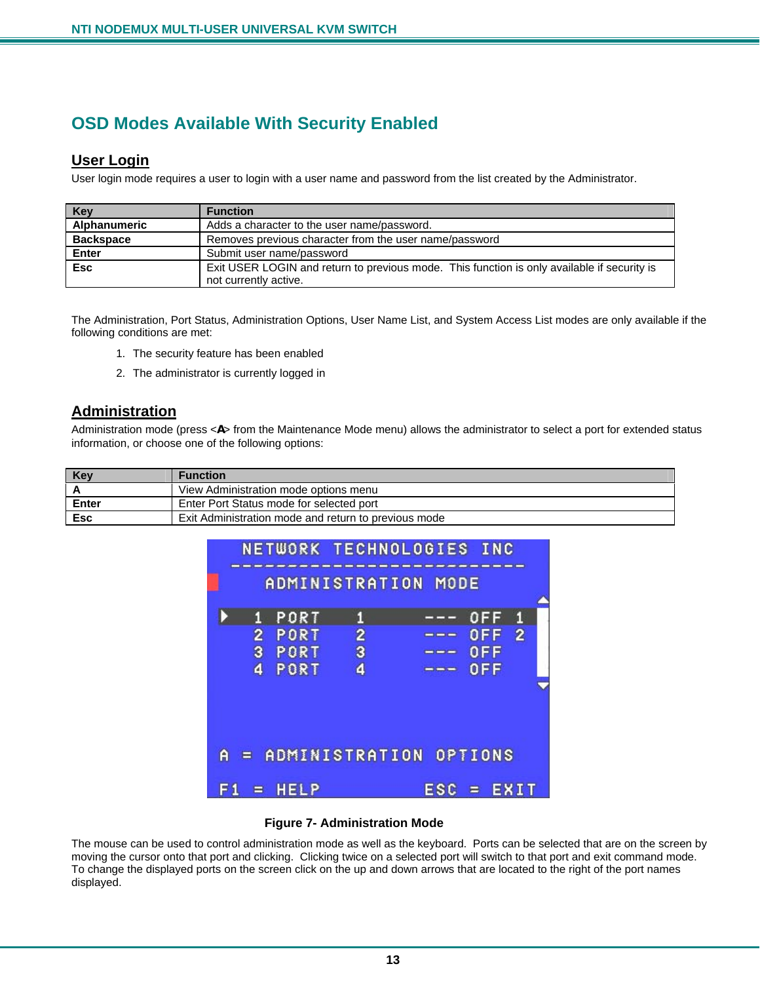### **OSD Modes Available With Security Enabled**

#### **User Login**

User login mode requires a user to login with a user name and password from the list created by the Administrator.

| <b>Key</b>       | <b>Function</b>                                                                             |
|------------------|---------------------------------------------------------------------------------------------|
| Alphanumeric     | Adds a character to the user name/password.                                                 |
| <b>Backspace</b> | Removes previous character from the user name/password                                      |
| Enter            | Submit user name/password                                                                   |
| <b>Esc</b>       | Exit USER LOGIN and return to previous mode. This function is only available if security is |
|                  | not currently active.                                                                       |

The Administration, Port Status, Administration Options, User Name List, and System Access List modes are only available if the following conditions are met:

- 1. The security feature has been enabled
- 2. The administrator is currently logged in

#### **Administration**

Administration mode (press <**A**> from the Maintenance Mode menu) allows the administrator to select a port for extended status information, or choose one of the following options:

| Key   | <b>Function</b>                                      |
|-------|------------------------------------------------------|
|       | View Administration mode options menu                |
| Enter | Enter Port Status mode for selected port             |
| Esc   | Exit Administration mode and return to previous mode |



#### **Figure 7- Administration Mode**

The mouse can be used to control administration mode as well as the keyboard. Ports can be selected that are on the screen by moving the cursor onto that port and clicking. Clicking twice on a selected port will switch to that port and exit command mode. To change the displayed ports on the screen click on the up and down arrows that are located to the right of the port names displayed.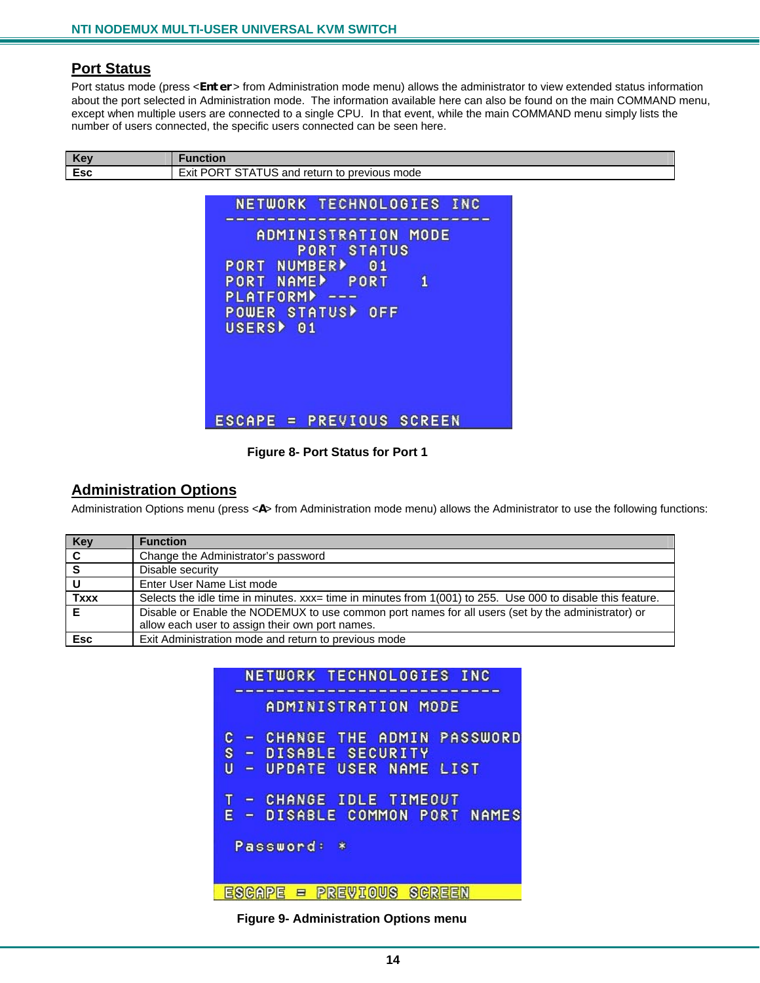#### **Port Status**

Port status mode (press <**Enter**> from Administration mode menu) allows the administrator to view extended status information about the port selected in Administration mode. The information available here can also be found on the main COMMAND menu, except when multiple users are connected to a single CPU. In that event, while the main COMMAND menu simply lists the number of users connected, the specific users connected can be seen here.

| Kev        | ıction                                                                       |
|------------|------------------------------------------------------------------------------|
| Eec<br>ESC | <b>POR</b><br>Exit<br>previous mode<br>ਂ and return to<br>ບວ<br>$\mathsf{A}$ |

|                                                |                                      | NETWORK TECHNOLOGIES INC |
|------------------------------------------------|--------------------------------------|--------------------------|
|                                                | ADMINISTRATION<br><b>PORT STATUS</b> | MODE                     |
| PORT NUMBER><br><b>PORT NAMED</b>              | 01<br>PORT                           | 1                        |
| $PLATFORM$ ---<br>POWER STATUS <sup>&gt;</sup> | OFF                                  |                          |
| <b>USERS</b><br>01                             |                                      |                          |
|                                                |                                      |                          |
|                                                |                                      |                          |
| ESCAPE = PREVIOUS SCREEN                       |                                      |                          |

 **Figure 8- Port Status for Port 1** 

#### **Administration Options**

Administration Options menu (press <**A**> from Administration mode menu) allows the Administrator to use the following functions:

| Key            | <b>Function</b>                                                                                             |
|----------------|-------------------------------------------------------------------------------------------------------------|
| $\overline{c}$ | Change the Administrator's password                                                                         |
| $\overline{s}$ | Disable security                                                                                            |
|                | Enter User Name List mode                                                                                   |
| <b>Txxx</b>    | Selects the idle time in minutes. xxx= time in minutes from 1(001) to 255. Use 000 to disable this feature. |
|                | Disable or Enable the NODEMUX to use common port names for all users (set by the administrator) or          |
|                | allow each user to assign their own port names.                                                             |
| <b>Esc</b>     | Exit Administration mode and return to previous mode                                                        |

| NETWORK TECHNOLOGIES INC               |  |  |
|----------------------------------------|--|--|
| ADMINISTRATION MODE                    |  |  |
| CHANGE THE ADMIN PASSWORD<br>c<br>0    |  |  |
| - DISABLE SECURITY<br>s                |  |  |
| U<br>UPDATE USER NAME LIST<br>$\equiv$ |  |  |
|                                        |  |  |
| CHANGE IDLE TIMEOUT<br>$\blacksquare$  |  |  |
| - DISABLE COMMON PORT NAMES<br>Е       |  |  |
|                                        |  |  |
| Password:<br>$\ast$                    |  |  |
|                                        |  |  |
|                                        |  |  |
| <b>KEWIOUS</b><br>영업법칙회사<br>ESCA<br>Ξ  |  |  |

 **Figure 9- Administration Options menu**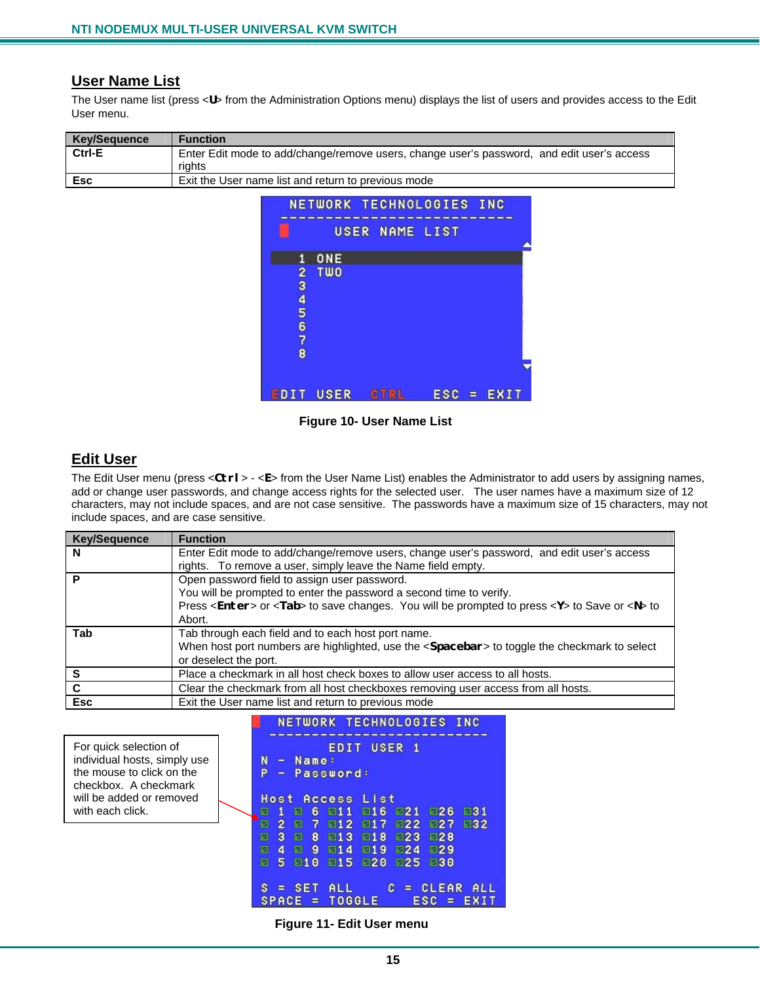#### **User Name List**

The User name list (press <**U**> from the Administration Options menu) displays the list of users and provides access to the Edit User menu.

| <b>Key/Sequence</b> | <b>Function</b>                                                                            |
|---------------------|--------------------------------------------------------------------------------------------|
| Ctrl-E              | Enter Edit mode to add/change/remove users, change user's password, and edit user's access |
|                     | riahts                                                                                     |
| <b>Esc</b>          | Exit the User name list and return to previous mode                                        |



#### **Figure 10- User Name List**

#### **Edit User**

The Edit User menu (press <**Ctrl**> - <**E**> from the User Name List) enables the Administrator to add users by assigning names, add or change user passwords, and change access rights for the selected user. The user names have a maximum size of 12 characters, may not include spaces, and are not case sensitive. The passwords have a maximum size of 15 characters, may not include spaces, and are case sensitive.

| <b>Key/Sequence</b> | <b>Function</b>                                                                                                   |  |
|---------------------|-------------------------------------------------------------------------------------------------------------------|--|
| N                   | Enter Edit mode to add/change/remove users, change user's password, and edit user's access                        |  |
|                     | rights. To remove a user, simply leave the Name field empty.                                                      |  |
|                     | Open password field to assign user password.                                                                      |  |
|                     | You will be prompted to enter the password a second time to verify.                                               |  |
|                     | Press <enter> or <tab> to save changes. You will be prompted to press <y> to Save or <n> to</n></y></tab></enter> |  |
|                     | Abort.                                                                                                            |  |
| Tab                 | Tab through each field and to each host port name.                                                                |  |
|                     | When host port numbers are highlighted, use the <spacebar> to toggle the checkmark to select</spacebar>           |  |
|                     | or deselect the port.                                                                                             |  |
|                     | Place a checkmark in all host check boxes to allow user access to all hosts.                                      |  |
| C                   | Clear the checkmark from all host checkboxes removing user access from all hosts.                                 |  |
| <b>Esc</b>          | Exit the User name list and return to previous mode                                                               |  |

For quick selection of individual hosts, simply use the mouse to click on the checkbox. A checkmark will be added or removed with each click.

NETWORK TECHNOLOGIES INC ---------EDIT USER 1  $-$  Name: N P - Password: **Host Access List** 1 2 6 211 216 221 226 231  $2 \times 7$ 212 217 222 27 232  $\blacksquare$ ■ 3 ■ 8 ■13 ■18 ■23 ■28  $\Box$  4  $\Box$  9  $\Box$  14  $\Box$  19  $\Box$  24  $\Box$  29 ■ 5 ■10 ■15 ■26 ■25 ■30  $S = SET ALL$  $C = CLEAR ALL$  $SPACE = TOGGLE$  $ESC = EXIT$ 

 **Figure 11- Edit User menu**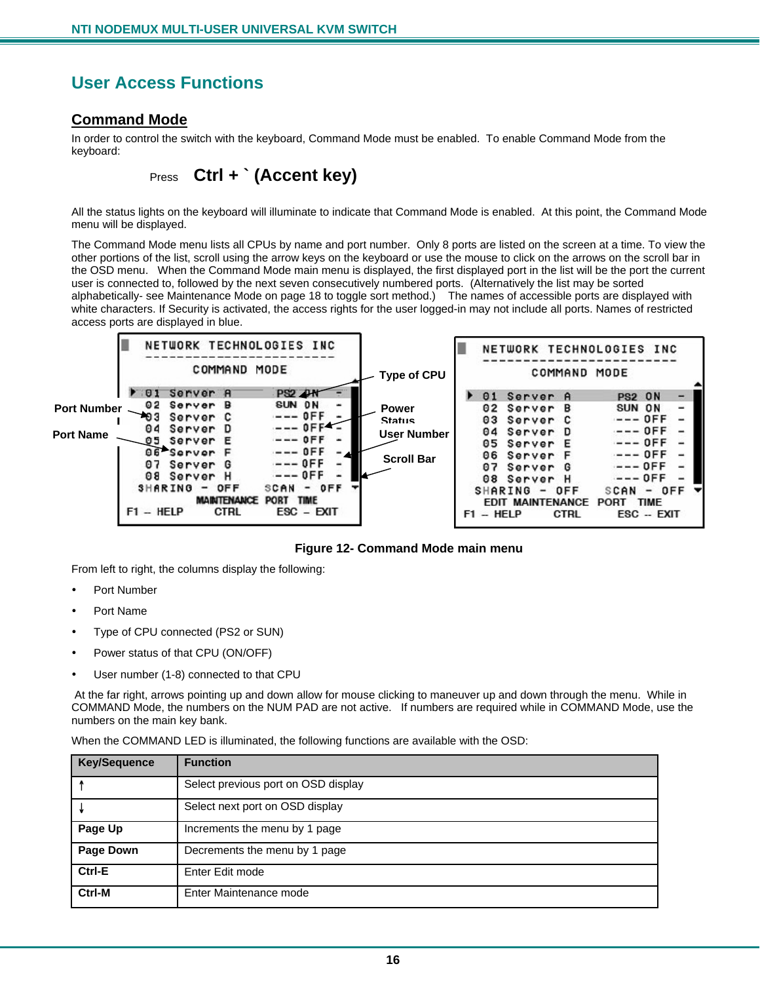### **User Access Functions**

#### **Command Mode**

In order to control the switch with the keyboard, Command Mode must be enabled. To enable Command Mode from the keyboard:

Press **Ctrl + ` (Accent key)** 

All the status lights on the keyboard will illuminate to indicate that Command Mode is enabled. At this point, the Command Mode menu will be displayed.

The Command Mode menu lists all CPUs by name and port number. Only 8 ports are listed on the screen at a time. To view the other portions of the list, scroll using the arrow keys on the keyboard or use the mouse to click on the arrows on the scroll bar in the OSD menu. When the Command Mode main menu is displayed, the first displayed port in the list will be the port the current user is connected to, followed by the next seven consecutively numbered ports. (Alternatively the list may be sorted alphabetically- see Maintenance Mode on page 18 to toggle sort method.) The names of accessible ports are displayed with white characters. If Security is activated, the access rights for the user logged-in may not include all ports. Names of restricted access ports are displayed in blue.



**Figure 12- Command Mode main menu** 

From left to right, the columns display the following:

- Port Number
- Port Name
- Type of CPU connected (PS2 or SUN)
- Power status of that CPU (ON/OFF)
- User number (1-8) connected to that CPU

 At the far right, arrows pointing up and down allow for mouse clicking to maneuver up and down through the menu. While in COMMAND Mode, the numbers on the NUM PAD are not active. If numbers are required while in COMMAND Mode, use the numbers on the main key bank.

When the COMMAND LED is illuminated, the following functions are available with the OSD:

| <b>Key/Sequence</b> | <b>Function</b>                     |
|---------------------|-------------------------------------|
|                     | Select previous port on OSD display |
|                     | Select next port on OSD display     |
| Page Up             | Increments the menu by 1 page       |
| Page Down           | Decrements the menu by 1 page       |
| Ctrl-E              | Enter Edit mode                     |
| Ctrl-M              | Enter Maintenance mode              |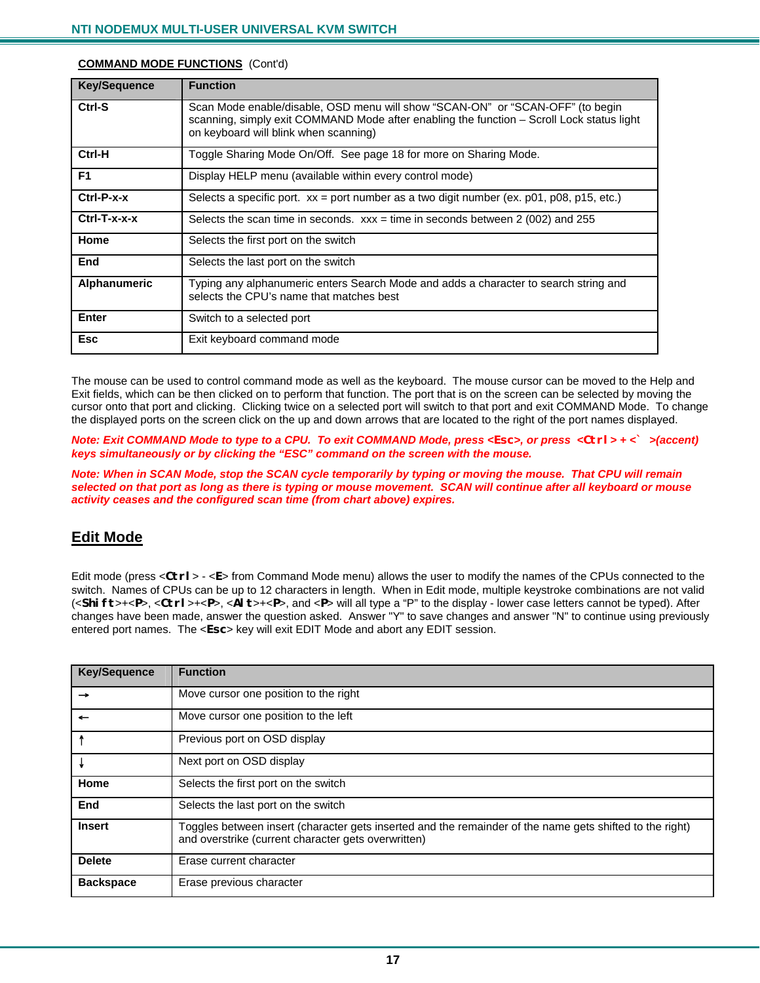| <b>Key/Sequence</b> | <b>Function</b>                                                                                                                                                                                                      |  |
|---------------------|----------------------------------------------------------------------------------------------------------------------------------------------------------------------------------------------------------------------|--|
| Ctrl-S              | Scan Mode enable/disable, OSD menu will show "SCAN-ON" or "SCAN-OFF" (to begin<br>scanning, simply exit COMMAND Mode after enabling the function – Scroll Lock status light<br>on keyboard will blink when scanning) |  |
| Ctrl-H              | Toggle Sharing Mode On/Off. See page 18 for more on Sharing Mode.                                                                                                                                                    |  |
| F <sub>1</sub>      | Display HELP menu (available within every control mode)                                                                                                                                                              |  |
| $Ctrl-P-x-x$        | Selects a specific port. $xx =$ port number as a two digit number (ex. p01, p08, p15, etc.)                                                                                                                          |  |
| $Ctrl-T-x-x-x$      | Selects the scan time in seconds. $xxx =$ time in seconds between 2 (002) and 255                                                                                                                                    |  |
| Home                | Selects the first port on the switch                                                                                                                                                                                 |  |
| End                 | Selects the last port on the switch                                                                                                                                                                                  |  |
| Alphanumeric        | Typing any alphanumeric enters Search Mode and adds a character to search string and<br>selects the CPU's name that matches best                                                                                     |  |
| Enter               | Switch to a selected port                                                                                                                                                                                            |  |
| <b>Esc</b>          | Exit keyboard command mode                                                                                                                                                                                           |  |

#### **COMMAND MODE FUNCTIONS** (Cont'd)

The mouse can be used to control command mode as well as the keyboard. The mouse cursor can be moved to the Help and Exit fields, which can be then clicked on to perform that function. The port that is on the screen can be selected by moving the cursor onto that port and clicking. Clicking twice on a selected port will switch to that port and exit COMMAND Mode. To change the displayed ports on the screen click on the up and down arrows that are located to the right of the port names displayed.

*Note: Exit COMMAND Mode to type to a CPU. To exit COMMAND Mode, press <Esc>, or press <Ctrl> + <` >(accent) keys simultaneously or by clicking the "ESC" command on the screen with the mouse.* 

*Note: When in SCAN Mode, stop the SCAN cycle temporarily by typing or moving the mouse. That CPU will remain selected on that port as long as there is typing or mouse movement. SCAN will continue after all keyboard or mouse activity ceases and the configured scan time (from chart above) expires.* 

#### **Edit Mode**

Edit mode (press <**Ctrl**> - <**E**> from Command Mode menu) allows the user to modify the names of the CPUs connected to the switch. Names of CPUs can be up to 12 characters in length. When in Edit mode, multiple keystroke combinations are not valid (<**Shift**>+<**P**>, <**Ctrl**>+<**P**>, <**Alt**>+<**P**>, and <**P**> will all type a "P" to the display - lower case letters cannot be typed). After changes have been made, answer the question asked. Answer "Y" to save changes and answer "N" to continue using previously entered port names. The <**Esc**> key will exit EDIT Mode and abort any EDIT session.

| <b>Key/Sequence</b> | <b>Function</b>                                                                                                                                                 |  |
|---------------------|-----------------------------------------------------------------------------------------------------------------------------------------------------------------|--|
| →                   | Move cursor one position to the right                                                                                                                           |  |
|                     | Move cursor one position to the left                                                                                                                            |  |
|                     | Previous port on OSD display                                                                                                                                    |  |
|                     | Next port on OSD display                                                                                                                                        |  |
| Home                | Selects the first port on the switch                                                                                                                            |  |
| End                 | Selects the last port on the switch                                                                                                                             |  |
| <b>Insert</b>       | Toggles between insert (character gets inserted and the remainder of the name gets shifted to the right)<br>and overstrike (current character gets overwritten) |  |
| <b>Delete</b>       | Erase current character                                                                                                                                         |  |
| <b>Backspace</b>    | Erase previous character                                                                                                                                        |  |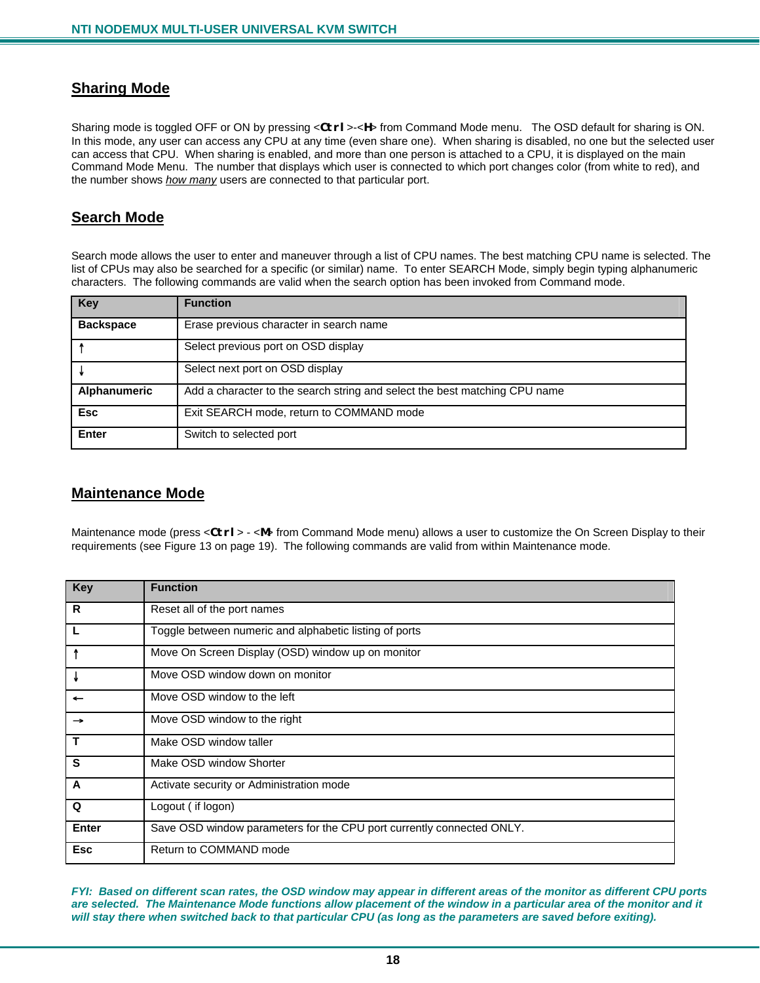#### **Sharing Mode**

Sharing mode is toggled OFF or ON by pressing <**Ctrl**>-<**H**> from Command Mode menu. The OSD default for sharing is ON. In this mode, any user can access any CPU at any time (even share one). When sharing is disabled, no one but the selected user can access that CPU. When sharing is enabled, and more than one person is attached to a CPU, it is displayed on the main Command Mode Menu. The number that displays which user is connected to which port changes color (from white to red), and the number shows *how many* users are connected to that particular port.

#### **Search Mode**

Search mode allows the user to enter and maneuver through a list of CPU names. The best matching CPU name is selected. The list of CPUs may also be searched for a specific (or similar) name. To enter SEARCH Mode, simply begin typing alphanumeric characters. The following commands are valid when the search option has been invoked from Command mode.

| Key              | <b>Function</b>                                                            |  |
|------------------|----------------------------------------------------------------------------|--|
| <b>Backspace</b> | Erase previous character in search name                                    |  |
|                  | Select previous port on OSD display                                        |  |
|                  | Select next port on OSD display                                            |  |
| Alphanumeric     | Add a character to the search string and select the best matching CPU name |  |
| <b>Esc</b>       | Exit SEARCH mode, return to COMMAND mode                                   |  |
| <b>Enter</b>     | Switch to selected port                                                    |  |

#### **Maintenance Mode**

Maintenance mode (press <**Ctrl**> - <**M**> from Command Mode menu) allows a user to customize the On Screen Display to their requirements (see Figure 13 on page 19). The following commands are valid from within Maintenance mode.

| <b>Key</b>              | <b>Function</b>                                                       |  |
|-------------------------|-----------------------------------------------------------------------|--|
| R                       | Reset all of the port names                                           |  |
| L                       | Toggle between numeric and alphabetic listing of ports                |  |
| -1                      | Move On Screen Display (OSD) window up on monitor                     |  |
| ₩                       | Move OSD window down on monitor                                       |  |
|                         | Move OSD window to the left                                           |  |
| $\rightarrow$           | Move OSD window to the right                                          |  |
| $\mathbf{T}$            | Make OSD window taller                                                |  |
| $\overline{\mathbf{s}}$ | Make OSD window Shorter                                               |  |
| $\overline{A}$          | Activate security or Administration mode                              |  |
| Q                       | Logout (if logon)                                                     |  |
| <b>Enter</b>            | Save OSD window parameters for the CPU port currently connected ONLY. |  |
| <b>Esc</b>              | Return to COMMAND mode                                                |  |

*FYI: Based on different scan rates, the OSD window may appear in different areas of the monitor as different CPU ports are selected. The Maintenance Mode functions allow placement of the window in a particular area of the monitor and it*  will stay there when switched back to that particular CPU (as long as the parameters are saved before exiting).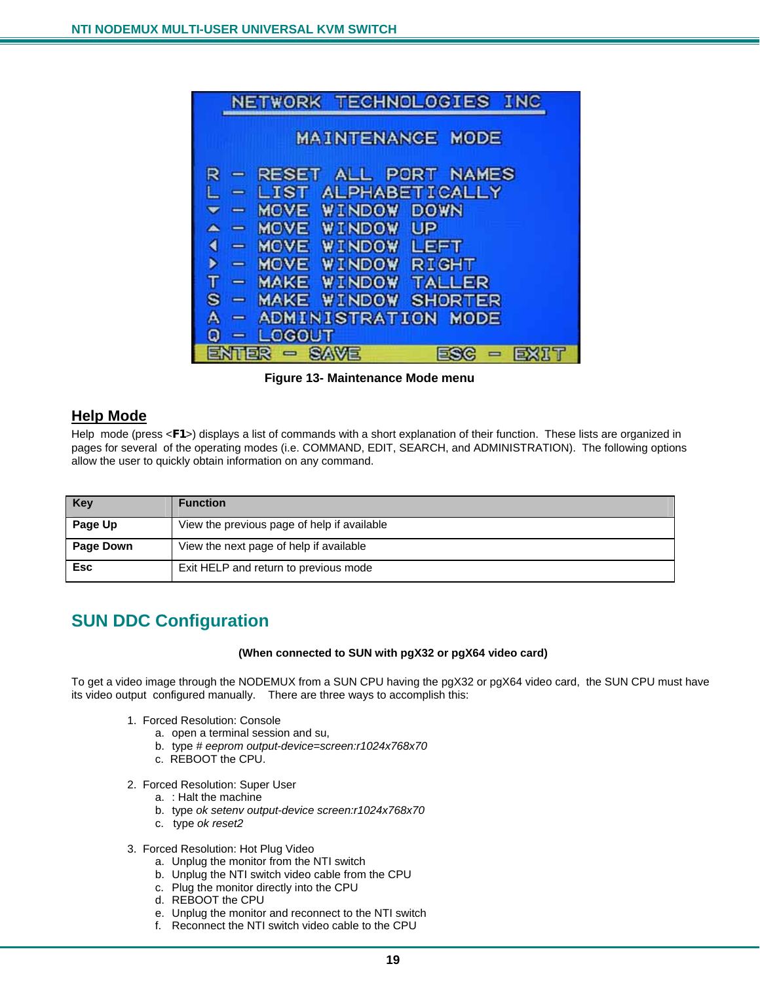

 **Figure 13- Maintenance Mode menu** 

### **Help Mode**

Help mode (press <**F1**>) displays a list of commands with a short explanation of their function. These lists are organized in pages for several of the operating modes (i.e. COMMAND, EDIT, SEARCH, and ADMINISTRATION). The following options allow the user to quickly obtain information on any command.

| <b>Key</b>       | <b>Function</b>                             |
|------------------|---------------------------------------------|
| Page Up          | View the previous page of help if available |
| <b>Page Down</b> | View the next page of help if available     |
| <b>Esc</b>       | Exit HELP and return to previous mode       |

### **SUN DDC Configuration**

#### **(When connected to SUN with pgX32 or pgX64 video card)**

To get a video image through the NODEMUX from a SUN CPU having the pgX32 or pgX64 video card, the SUN CPU must have its video output configured manually. There are three ways to accomplish this:

- 1. Forced Resolution: Console
	- a. open a terminal session and su,
	- b. type *# eeprom output-device=screen:r1024x768x70*
	- c. REBOOT the CPU.
- 2. Forced Resolution: Super User
	- a. : Halt the machine
	- b. type *ok setenv output-device screen:r1024x768x70*
	- c. type *ok reset2*
- 3. Forced Resolution: Hot Plug Video
	- a. Unplug the monitor from the NTI switch
	- b. Unplug the NTI switch video cable from the CPU
	- c. Plug the monitor directly into the CPU
	- d. REBOOT the CPU
	- e. Unplug the monitor and reconnect to the NTI switch
	- f. Reconnect the NTI switch video cable to the CPU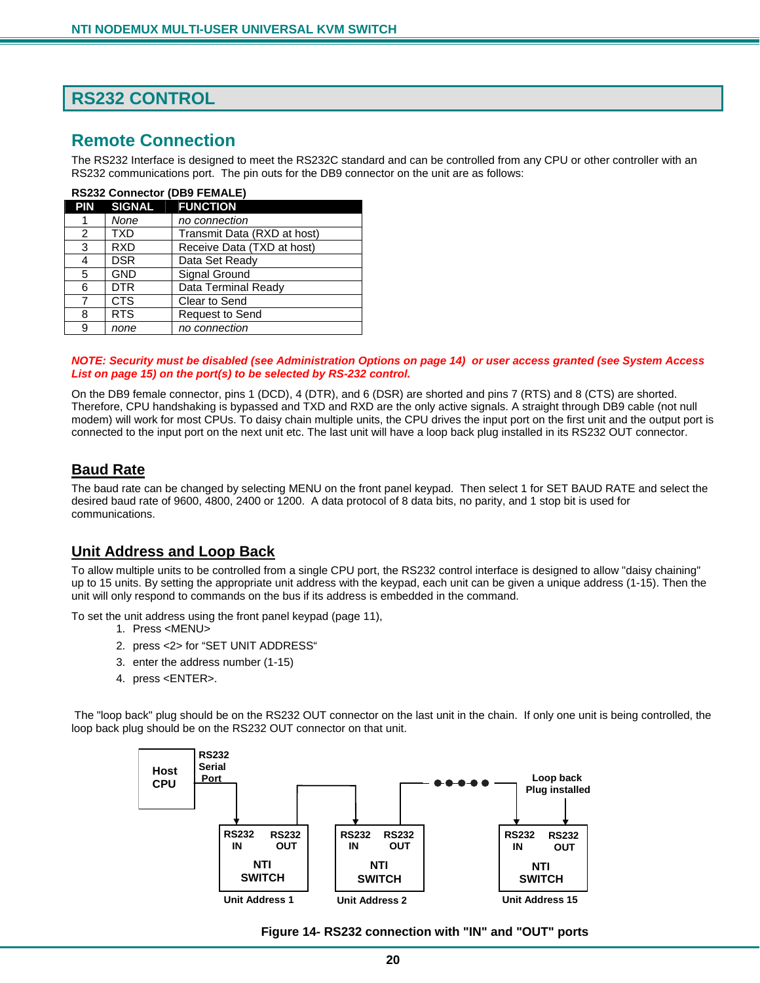### **RS232 CONTROL**

### **Remote Connection**

The RS232 Interface is designed to meet the RS232C standard and can be controlled from any CPU or other controller with an RS232 communications port. The pin outs for the DB9 connector on the unit are as follows:

| <b>RS232 Connector (DB9 FEMALE)</b> |                     |                             |
|-------------------------------------|---------------------|-----------------------------|
|                                     | PIN SIGNAL FUNCTION |                             |
|                                     | None                | no connection               |
| $\overline{2}$                      | TXD                 | Transmit Data (RXD at host) |
| 3                                   | <b>RXD</b>          | Receive Data (TXD at host)  |
| 4                                   | <b>DSR</b>          | Data Set Ready              |
| 5                                   | <b>GND</b>          | Signal Ground               |
| 6                                   | <b>DTR</b>          | Data Terminal Ready         |
| 7                                   | <b>CTS</b>          | Clear to Send               |
| 8                                   | <b>RTS</b>          | <b>Request to Send</b>      |
| 9                                   | none                | no connection               |

#### *NOTE: Security must be disabled (see Administration Options on page 14) or user access granted (see System Access List on page 15) on the port(s) to be selected by RS-232 control.*

On the DB9 female connector, pins 1 (DCD), 4 (DTR), and 6 (DSR) are shorted and pins 7 (RTS) and 8 (CTS) are shorted. Therefore, CPU handshaking is bypassed and TXD and RXD are the only active signals. A straight through DB9 cable (not null modem) will work for most CPUs. To daisy chain multiple units, the CPU drives the input port on the first unit and the output port is connected to the input port on the next unit etc. The last unit will have a loop back plug installed in its RS232 OUT connector.

#### **Baud Rate**

The baud rate can be changed by selecting MENU on the front panel keypad. Then select 1 for SET BAUD RATE and select the desired baud rate of 9600, 4800, 2400 or 1200. A data protocol of 8 data bits, no parity, and 1 stop bit is used for communications.

#### **Unit Address and Loop Back**

To allow multiple units to be controlled from a single CPU port, the RS232 control interface is designed to allow "daisy chaining" up to 15 units. By setting the appropriate unit address with the keypad, each unit can be given a unique address (1-15). Then the unit will only respond to commands on the bus if its address is embedded in the command.

To set the unit address using the front panel keypad (page 11),

- 1. Press <MENU>
- 2. press <2> for "SET UNIT ADDRESS"
- 3. enter the address number (1-15)
- 4. press <ENTER>.

 The "loop back" plug should be on the RS232 OUT connector on the last unit in the chain. If only one unit is being controlled, the loop back plug should be on the RS232 OUT connector on that unit.



 **Figure 14- RS232 connection with "IN" and "OUT" ports**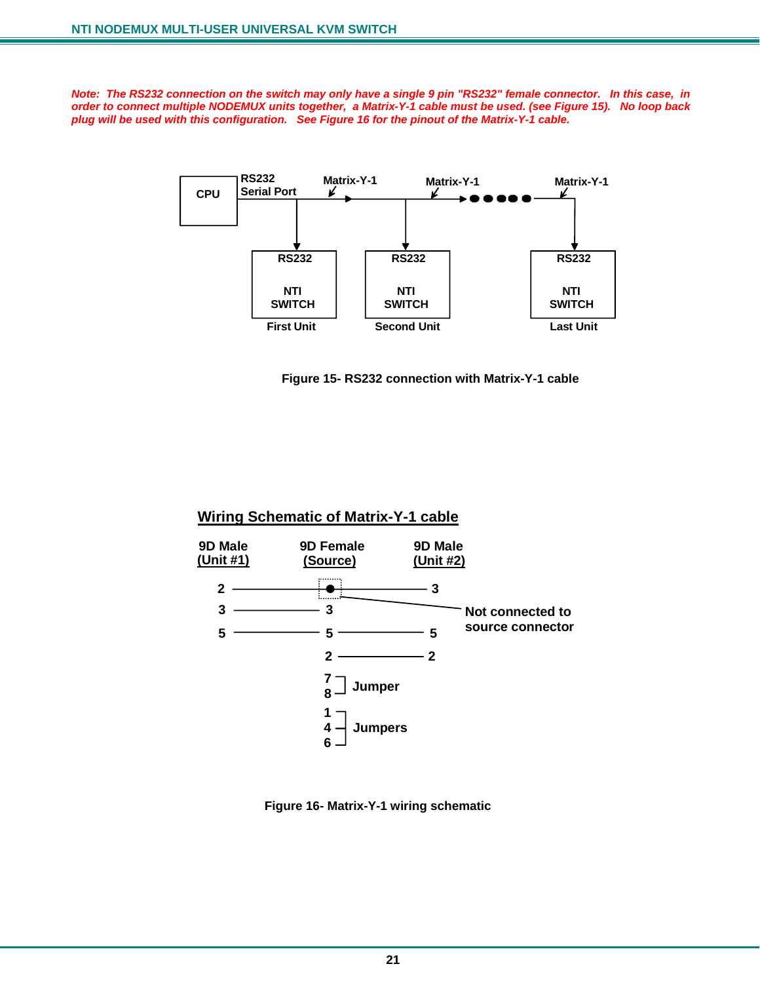*Note: The RS232 connection on the switch may only have a single 9 pin "RS232" female connector. In this case, in order to connect multiple NODEMUX units together, a Matrix-Y-1 cable must be used. (see Figure 15). No loop back plug will be used with this configuration. See Figure 16 for the pinout of the Matrix-Y-1 cable.* 



 **Figure 15- RS232 connection with Matrix-Y-1 cable** 

#### **Wiring Schematic of Matrix-Y-1 cable**



 **Figure 16- Matrix-Y-1 wiring schematic**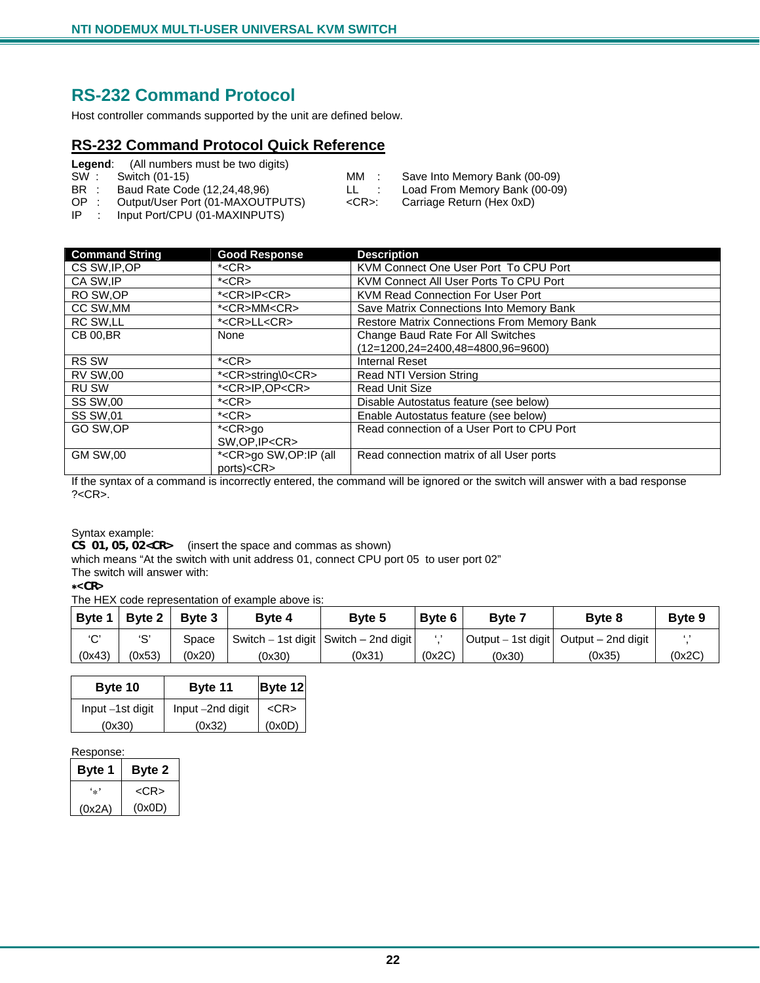### **RS-232 Command Protocol**

Host controller commands supported by the unit are defined below.

### **RS-232 Command Protocol Quick Reference**

| Legend: | (All numbers must be two digits) |
|---------|----------------------------------|
|---------|----------------------------------|

| SW:  | Switch (01-15)                                                                                                                                                                                                                                                                                                                                                                       | MM :       | Save Into Memory Bank (00-09) |
|------|--------------------------------------------------------------------------------------------------------------------------------------------------------------------------------------------------------------------------------------------------------------------------------------------------------------------------------------------------------------------------------------|------------|-------------------------------|
| BR : | Baud Rate Code (12,24,48,96)                                                                                                                                                                                                                                                                                                                                                         |            | Load From Memory Bank (00-09) |
| OP : | Output/User Port (01-MAXOUTPUTS)                                                                                                                                                                                                                                                                                                                                                     | <cr>:</cr> | Carriage Return (Hex 0xD)     |
|      | $\overline{a}$ $\overline{a}$ $\overline{a}$ $\overline{a}$ $\overline{a}$ $\overline{a}$ $\overline{a}$ $\overline{a}$ $\overline{a}$ $\overline{a}$ $\overline{a}$ $\overline{a}$ $\overline{a}$ $\overline{a}$ $\overline{a}$ $\overline{a}$ $\overline{a}$ $\overline{a}$ $\overline{a}$ $\overline{a}$ $\overline{a}$ $\overline{a}$ $\overline{a}$ $\overline{a}$ $\overline{$ |            |                               |

IP : Input Port/CPU (01-MAXINPUTS)

| <b>Command String</b> | <b>Good Response</b>         | <b>Description</b>                                 |
|-----------------------|------------------------------|----------------------------------------------------|
| CS SW, IP, OP         | $*<$ CR $>$                  | KVM Connect One User Port To CPU Port              |
| CA SW.IP              | $*<$ CR $>$                  | KVM Connect All User Ports To CPU Port             |
| RO SW.OP              | * <cr>IP<cr></cr></cr>       | KVM Read Connection For User Port                  |
| CC SW, MM             | * <cr>MM<cr></cr></cr>       | Save Matrix Connections Into Memory Bank           |
| RC SW,LL              | * <cr>LL<cr></cr></cr>       | <b>Restore Matrix Connections From Memory Bank</b> |
| <b>CB 00.BR</b>       | None                         | Change Baud Rate For All Switches                  |
|                       |                              | $(12=1200, 24=2400, 48=4800, 96=9600)$             |
| <b>RS SW</b>          | $*<$ CR $>$                  | <b>Internal Reset</b>                              |
| <b>RV SW,00</b>       | * <cr>string\0<cr></cr></cr> | <b>Read NTI Version String</b>                     |
| <b>RU SW</b>          | * <cr>IP.OP<cr></cr></cr>    | <b>Read Unit Size</b>                              |
| <b>SS SW,00</b>       | $*<$ CR $>$                  | Disable Autostatus feature (see below)             |
| <b>SS SW,01</b>       | $*<$ CR $>$                  | Enable Autostatus feature (see below)              |
| GO SW, OP             | * <cr>go</cr>                | Read connection of a User Port to CPU Port         |
|                       | SW, OP, IP <cr></cr>         |                                                    |
| <b>GM SW,00</b>       | * <cr>go SW,OP:IP (all</cr>  | Read connection matrix of all User ports           |
|                       | ports) <cr></cr>             |                                                    |

If the syntax of a command is incorrectly entered, the command will be ignored or the switch will answer with a bad response ?<CR>.

Syntax example:

**CS 01,05,02<CR>** (insert the space and commas as shown)

which means "At the switch with unit address 01, connect CPU port 05 to user port 02"

The switch will answer with:

∗**<CR>** 

The HEX code representation of example above is:

| Byte 1 | <b>Byte 2</b> | Byte 3 | <b>Byte 4</b> | Byte 5                                  | Byte 6   | <b>Byte</b> | Byte 8                                  | <b>Byte 9</b> |
|--------|---------------|--------|---------------|-----------------------------------------|----------|-------------|-----------------------------------------|---------------|
| $\sim$ | י ج           | Space  |               | Switch – 1st digit   Switch – 2nd digit | $\cdots$ |             | Output – 1st digit   Output – 2nd digit |               |
| (0x43) | (0x53)        | (0x20) | (0x30)        | (0x31)                                  | (0x2C)   | (0x30)      | (0x35)                                  | (0x2C)        |

| Byte 10          | Byte 11          | Byte 12    |  |
|------------------|------------------|------------|--|
| Input -1st digit | Input -2nd digit | $<$ CR $>$ |  |
| (0x30)           | (0x32)           | (0x0D)     |  |

Response:

| Byte 1 | Byte 2     |
|--------|------------|
| ۰.,    | $<$ CR $>$ |
| (0x2A) | (0x0D)     |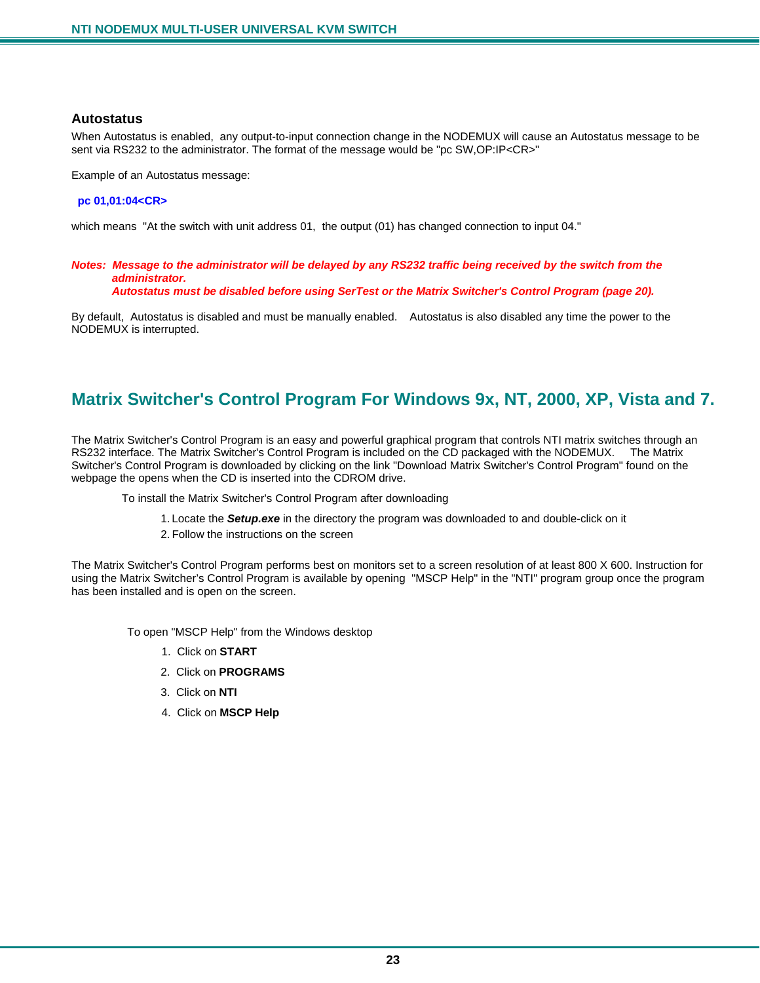#### **Autostatus**

When Autostatus is enabled, any output-to-input connection change in the NODEMUX will cause an Autostatus message to be sent via RS232 to the administrator. The format of the message would be "pc SW,OP:IP<CR>"

Example of an Autostatus message:

#### **pc 01,01:04<CR>**

which means "At the switch with unit address 01, the output (01) has changed connection to input 04."

#### *Notes: Message to the administrator will be delayed by any RS232 traffic being received by the switch from the administrator.*

 *Autostatus must be disabled before using SerTest or the Matrix Switcher's Control Program (page 20).* 

By default, Autostatus is disabled and must be manually enabled. Autostatus is also disabled any time the power to the NODEMUX is interrupted.

### **Matrix Switcher's Control Program For Windows 9x, NT, 2000, XP, Vista and 7.**

The Matrix Switcher's Control Program is an easy and powerful graphical program that controls NTI matrix switches through an RS232 interface. The Matrix Switcher's Control Program is included on the CD packaged with the NODEMUX. The Matrix Switcher's Control Program is downloaded by clicking on the link "Download Matrix Switcher's Control Program" found on the webpage the opens when the CD is inserted into the CDROM drive.

To install the Matrix Switcher's Control Program after downloading

- 1. Locate the *Setup.exe* in the directory the program was downloaded to and double-click on it
- 2. Follow the instructions on the screen

The Matrix Switcher's Control Program performs best on monitors set to a screen resolution of at least 800 X 600. Instruction for using the Matrix Switcher's Control Program is available by opening "MSCP Help" in the "NTI" program group once the program has been installed and is open on the screen.

To open "MSCP Help" from the Windows desktop

- 1. Click on **START**
- 2. Click on **PROGRAMS**
- 3. Click on **NTI**
- 4. Click on **MSCP Help**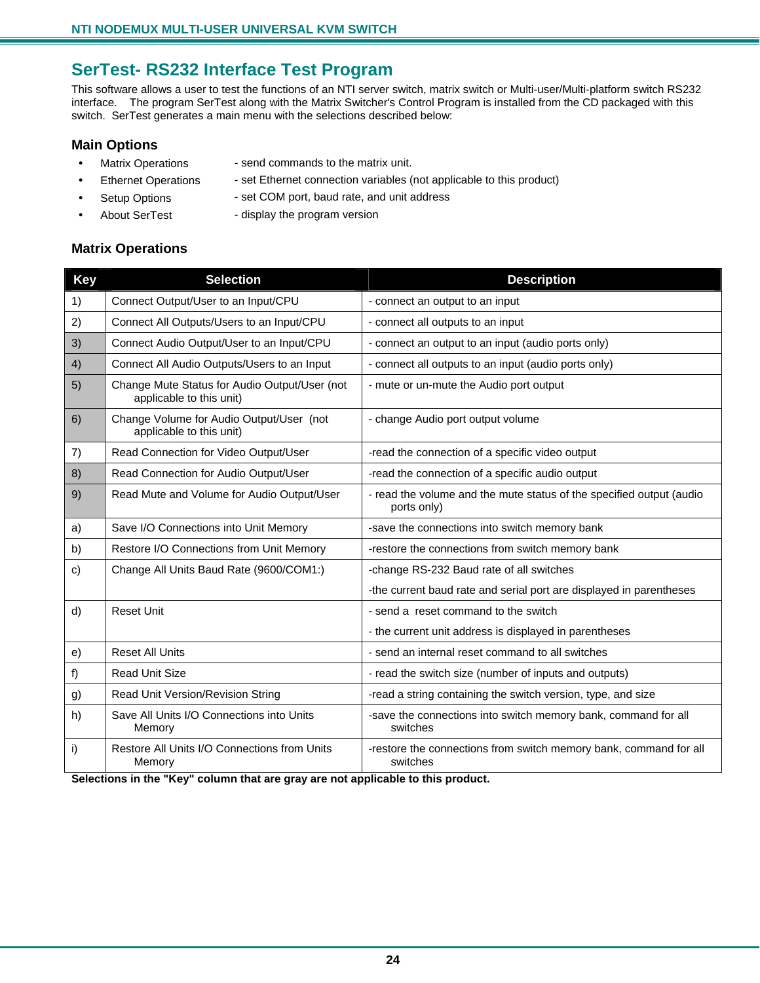### **SerTest- RS232 Interface Test Program**

This software allows a user to test the functions of an NTI server switch, matrix switch or Multi-user/Multi-platform switch RS232 interface. The program SerTest along with the Matrix Switcher's Control Program is installed from the CD packaged with this switch. SerTest generates a main menu with the selections described below:

#### **Main Options**

- Matrix Operations send commands to the matrix unit.
- Ethernet Operations set Ethernet connection variables (not applicable to this product)
- Setup Options set COM port, baud rate, and unit address
	- About SerTest display the program version

#### **Matrix Operations**

| <b>Key</b> | <b>Selection</b>                                                          | <b>Description</b>                                                                  |
|------------|---------------------------------------------------------------------------|-------------------------------------------------------------------------------------|
| 1)         | Connect Output/User to an Input/CPU                                       | - connect an output to an input                                                     |
| 2)         | Connect All Outputs/Users to an Input/CPU                                 | - connect all outputs to an input                                                   |
| 3)         | Connect Audio Output/User to an Input/CPU                                 | - connect an output to an input (audio ports only)                                  |
| 4)         | Connect All Audio Outputs/Users to an Input                               | - connect all outputs to an input (audio ports only)                                |
| 5)         | Change Mute Status for Audio Output/User (not<br>applicable to this unit) | - mute or un-mute the Audio port output                                             |
| 6)         | Change Volume for Audio Output/User (not<br>applicable to this unit)      | - change Audio port output volume                                                   |
| 7)         | Read Connection for Video Output/User                                     | -read the connection of a specific video output                                     |
| 8)         | Read Connection for Audio Output/User                                     | -read the connection of a specific audio output                                     |
| 9)         | Read Mute and Volume for Audio Output/User                                | - read the volume and the mute status of the specified output (audio<br>ports only) |
| a)         | Save I/O Connections into Unit Memory                                     | -save the connections into switch memory bank                                       |
| b)         | Restore I/O Connections from Unit Memory                                  | -restore the connections from switch memory bank                                    |
| c)         | Change All Units Baud Rate (9600/COM1:)                                   | -change RS-232 Baud rate of all switches                                            |
|            |                                                                           | -the current baud rate and serial port are displayed in parentheses                 |
| d)         | <b>Reset Unit</b>                                                         | - send a reset command to the switch                                                |
|            |                                                                           | - the current unit address is displayed in parentheses                              |
| e)         | <b>Reset All Units</b>                                                    | - send an internal reset command to all switches                                    |
| f)         | <b>Read Unit Size</b>                                                     | - read the switch size (number of inputs and outputs)                               |
| g)         | Read Unit Version/Revision String                                         | -read a string containing the switch version, type, and size                        |
| h)         | Save All Units I/O Connections into Units<br>Memory                       | -save the connections into switch memory bank, command for all<br>switches          |
| i)         | Restore All Units I/O Connections from Units<br>Memory                    | -restore the connections from switch memory bank, command for all<br>switches       |

**Selections in the "Key" column that are gray are not applicable to this product.**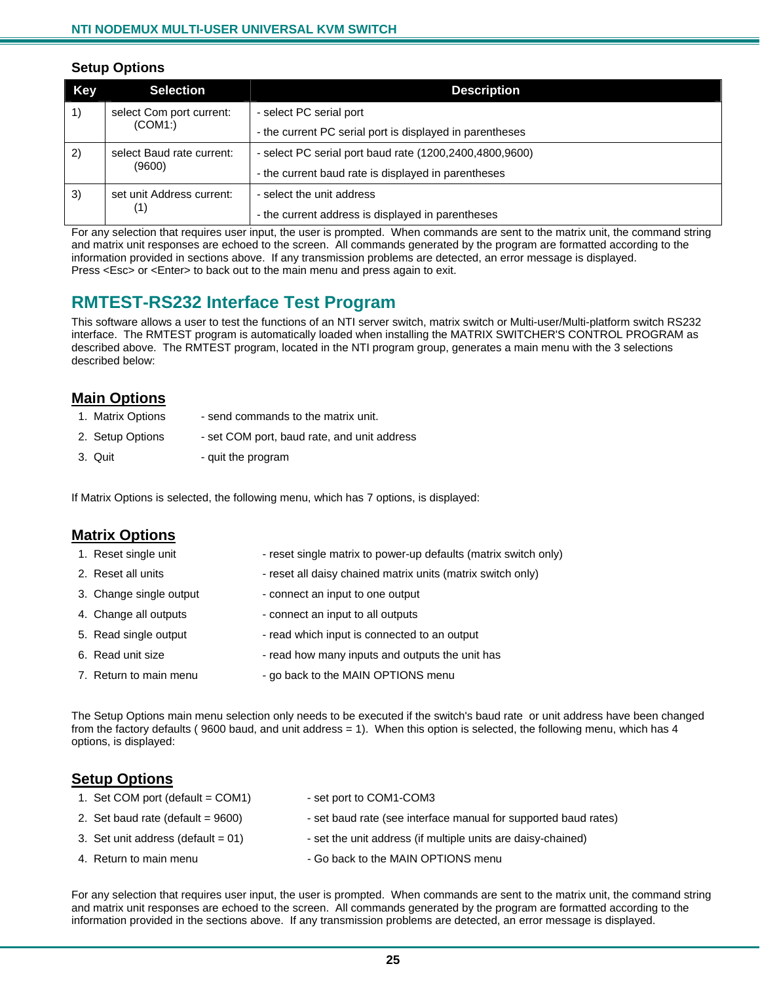#### **Setup Options**

| <b>Key</b> | <b>Selection</b>          | <b>Description</b>                                         |
|------------|---------------------------|------------------------------------------------------------|
| 1)         | select Com port current:  | - select PC serial port                                    |
|            | (COM1)                    | - the current PC serial port is displayed in parentheses   |
| 2)         | select Baud rate current: | - select PC serial port baud rate (1200, 2400, 4800, 9600) |
|            | (9600)                    | - the current baud rate is displayed in parentheses        |
| 3)         | set unit Address current: | - select the unit address                                  |
|            | (1)                       | - the current address is displayed in parentheses          |

For any selection that requires user input, the user is prompted. When commands are sent to the matrix unit, the command string and matrix unit responses are echoed to the screen. All commands generated by the program are formatted according to the information provided in sections above. If any transmission problems are detected, an error message is displayed. Press <Esc> or <Enter> to back out to the main menu and press again to exit.

### **RMTEST-RS232 Interface Test Program**

This software allows a user to test the functions of an NTI server switch, matrix switch or Multi-user/Multi-platform switch RS232 interface. The RMTEST program is automatically loaded when installing the MATRIX SWITCHER'S CONTROL PROGRAM as described above. The RMTEST program, located in the NTI program group, generates a main menu with the 3 selections described below:

#### **Main Options**

- 1. Matrix Options send commands to the matrix unit.
- 2. Setup Options set COM port, baud rate, and unit address
- 3. Quit  $-$  quit the program

If Matrix Options is selected, the following menu, which has 7 options, is displayed:

| <b>Matrix Options</b>   |                                                                 |  |  |  |
|-------------------------|-----------------------------------------------------------------|--|--|--|
| 1. Reset single unit    | - reset single matrix to power-up defaults (matrix switch only) |  |  |  |
| 2. Reset all units      | - reset all daisy chained matrix units (matrix switch only)     |  |  |  |
| 3. Change single output | - connect an input to one output                                |  |  |  |
| 4. Change all outputs   | - connect an input to all outputs                               |  |  |  |
| 5. Read single output   | - read which input is connected to an output                    |  |  |  |
| 6. Read unit size       | - read how many inputs and outputs the unit has                 |  |  |  |
| 7. Return to main menu  | - go back to the MAIN OPTIONS menu                              |  |  |  |

The Setup Options main menu selection only needs to be executed if the switch's baud rate or unit address have been changed from the factory defaults ( 9600 baud, and unit address = 1). When this option is selected, the following menu, which has 4 options, is displayed:

#### **Setup Options**

| 1. Set COM port (default = $COM1$ )   | - set port to COM1-COM3                                         |
|---------------------------------------|-----------------------------------------------------------------|
| 2. Set baud rate (default = $9600$ )  | - set baud rate (see interface manual for supported baud rates) |
| 3. Set unit address (default $= 01$ ) | - set the unit address (if multiple units are daisy-chained)    |
| 4. Return to main menu                | - Go back to the MAIN OPTIONS menu                              |

For any selection that requires user input, the user is prompted. When commands are sent to the matrix unit, the command string and matrix unit responses are echoed to the screen. All commands generated by the program are formatted according to the information provided in the sections above. If any transmission problems are detected, an error message is displayed.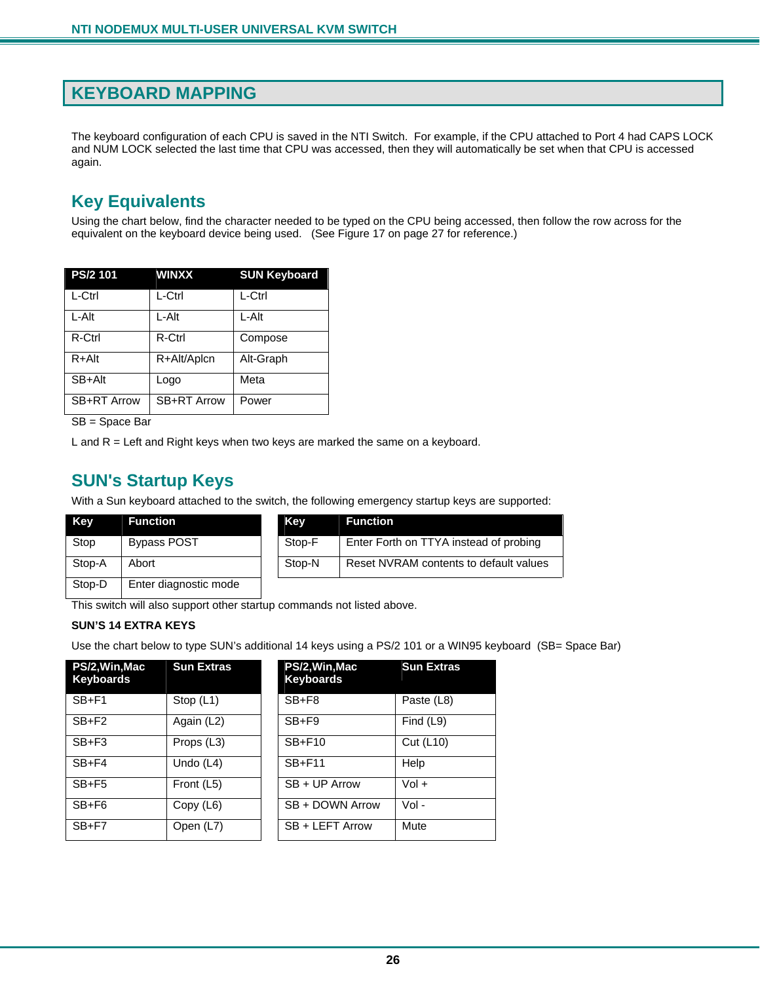### **KEYBOARD MAPPING**

The keyboard configuration of each CPU is saved in the NTI Switch. For example, if the CPU attached to Port 4 had CAPS LOCK and NUM LOCK selected the last time that CPU was accessed, then they will automatically be set when that CPU is accessed again.

### **Key Equivalents**

Using the chart below, find the character needed to be typed on the CPU being accessed, then follow the row across for the equivalent on the keyboard device being used. (See Figure 17 on page 27 for reference.)

| PS/2 101           | <b>WINXX</b> | <b>SUN Keyboard</b> |
|--------------------|--------------|---------------------|
| L-Ctrl             | L-Ctrl       | L-Ctrl              |
| L-Alt              | L-Alt        | L-Alt               |
| R-Ctrl             | R-Ctrl       | Compose             |
| $R + Alt$          | R+Alt/Aplcn  | Alt-Graph           |
| SB+Alt             | Logo         | Meta                |
| <b>SB+RT Arrow</b> | SB+RT Arrow  | Power               |
|                    |              |                     |

SB = Space Bar

L and  $R =$  Left and Right keys when two keys are marked the same on a keyboard.

### **SUN's Startup Keys**

With a Sun keyboard attached to the switch, the following emergency startup keys are supported:

| Key    | <b>Function</b>       | Kev    | <b>Function</b>                        |
|--------|-----------------------|--------|----------------------------------------|
| Stop   | <b>Bypass POST</b>    | Stop-F | Enter Forth on TTYA instead of probing |
| Stop-A | Abort                 | Stop-N | Reset NVRAM contents to default values |
| Stop-D | Enter diagnostic mode |        |                                        |

This switch will also support other startup commands not listed above.

#### **SUN'S 14 EXTRA KEYS**

Use the chart below to type SUN's additional 14 keys using a PS/2 101 or a WIN95 keyboard (SB= Space Bar)

| PS/2, Win, Mac<br><b>Keyboards</b> | <b>Sun Extras</b> | PS/2, Win, Mac<br><b>Keyboards</b> | <b>Sun Extras</b> |
|------------------------------------|-------------------|------------------------------------|-------------------|
|                                    |                   |                                    |                   |
| $SB + F1$                          | Stop $(L1)$       | $SB + F8$                          | Paste (L8)        |
| $SB + F2$                          | Again (L2)        | $SB + F9$                          | Find (L9)         |
| $SB + F3$                          | Props (L3)        | $SB + F10$                         | Cut (L10)         |
| $SB + F4$                          | Undo $(L4)$       | <b>SB+F11</b>                      | Help              |
| $SB + F5$                          | Front (L5)        | SB + UP Arrow                      | $Vol +$           |
| $SB + F6$                          | Copy (L6)         | SB + DOWN Arrow                    | $Vol -$           |
| $SB + F7$                          | Open (L7)         | SB + LEFT Arrow                    | Mute              |

| PS/2, Win, Mac<br><b>Keyboards</b> | <b>Sun Extras</b> |
|------------------------------------|-------------------|
| $SB + F8$                          | Paste (L8)        |
| $SB + F9$                          | Find (L9)         |
| $SB + F10$                         | Cut (L10)         |
| <b>SB+F11</b>                      | Help              |
| $SB + UP$ Arrow                    | $Vol +$           |
| SB + DOWN Arrow                    | Vol -             |
| SB + LEFT Arrow                    | Mute              |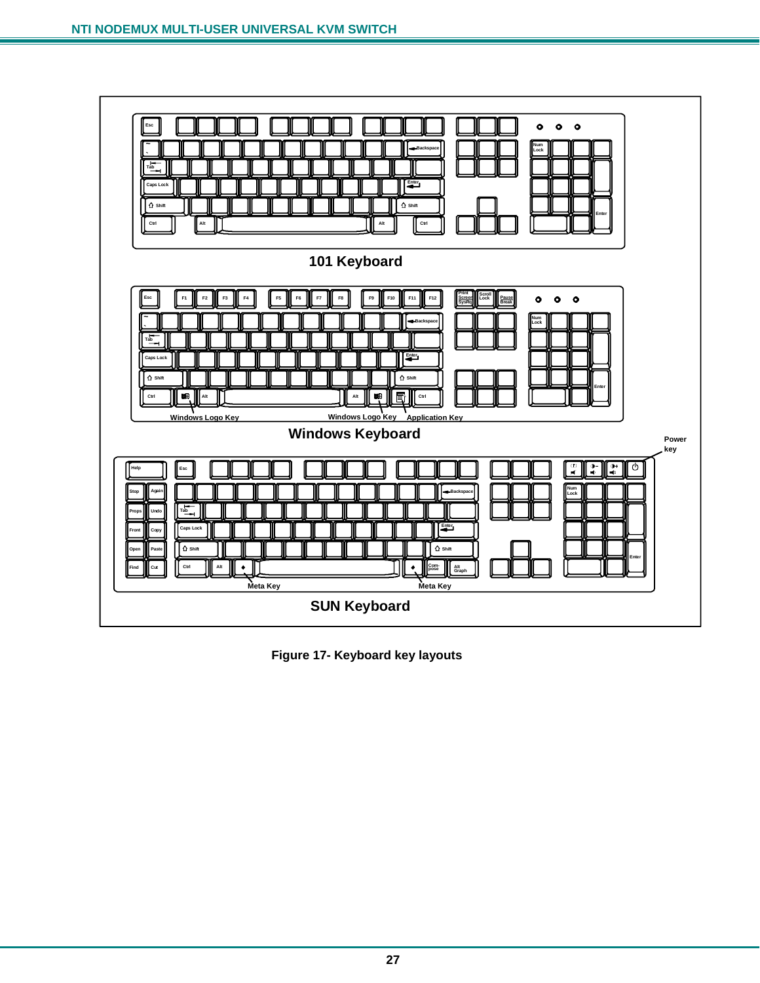

 **Figure 17- Keyboard key layouts**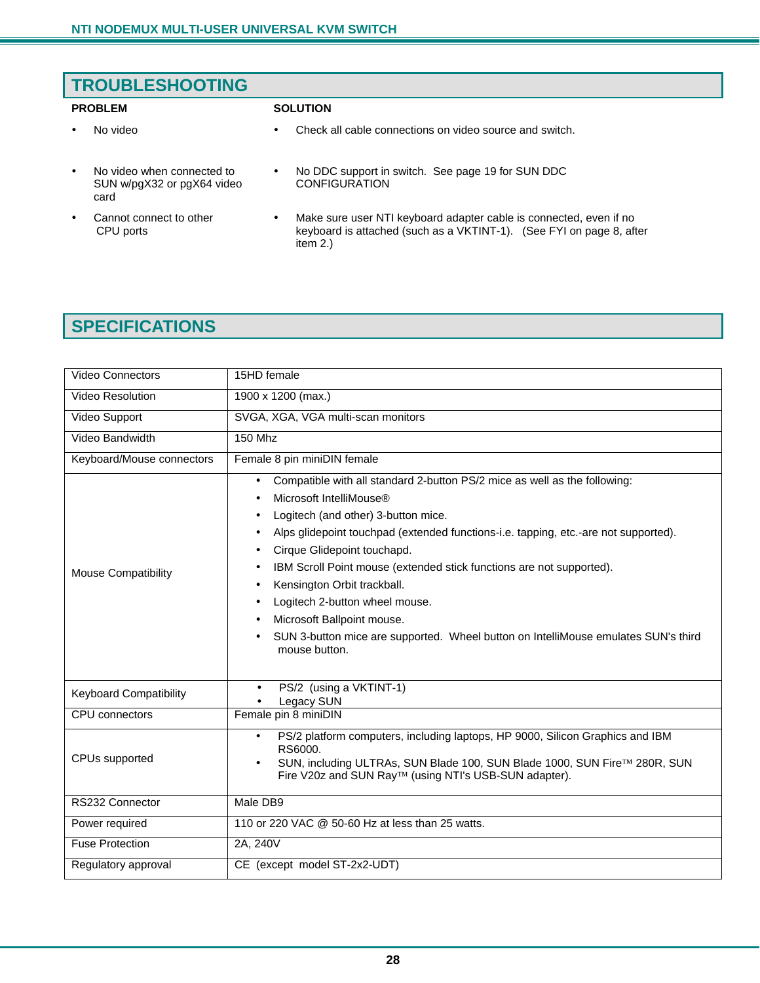## **TROUBLESHOOTING PROBLEM SOLUTION**

- No video Check all cable connections on video source and switch.
- No video when connected to SUN w/pgX32 or pgX64 video card
- Cannot connect to other CPU ports
- No DDC support in switch. See page 19 for SUN DDC **CONFIGURATION**
- Make sure user NTI keyboard adapter cable is connected, even if no keyboard is attached (such as a VKTINT-1). (See FYI on page 8, after item 2.)

## **SPECIFICATIONS**

| <b>Video Connectors</b>       | 15HD female                                                                                                                                                                                                                                                                                                                                                                                                                                                                                                                                                  |
|-------------------------------|--------------------------------------------------------------------------------------------------------------------------------------------------------------------------------------------------------------------------------------------------------------------------------------------------------------------------------------------------------------------------------------------------------------------------------------------------------------------------------------------------------------------------------------------------------------|
| <b>Video Resolution</b>       | 1900 x 1200 (max.)                                                                                                                                                                                                                                                                                                                                                                                                                                                                                                                                           |
| Video Support                 | SVGA, XGA, VGA multi-scan monitors                                                                                                                                                                                                                                                                                                                                                                                                                                                                                                                           |
| Video Bandwidth               | <b>150 Mhz</b>                                                                                                                                                                                                                                                                                                                                                                                                                                                                                                                                               |
| Keyboard/Mouse connectors     | Female 8 pin miniDIN female                                                                                                                                                                                                                                                                                                                                                                                                                                                                                                                                  |
| <b>Mouse Compatibility</b>    | Compatible with all standard 2-button PS/2 mice as well as the following:<br>$\bullet$<br>Microsoft IntelliMouse®<br>Logitech (and other) 3-button mice.<br>Alps glidepoint touchpad (extended functions-i.e. tapping, etc.-are not supported).<br>Cirque Glidepoint touchapd.<br>IBM Scroll Point mouse (extended stick functions are not supported).<br>Kensington Orbit trackball.<br>Logitech 2-button wheel mouse.<br>Microsoft Ballpoint mouse.<br>SUN 3-button mice are supported. Wheel button on IntelliMouse emulates SUN's third<br>mouse button. |
| <b>Keyboard Compatibility</b> | PS/2 (using a VKTINT-1)<br>Legacy SUN                                                                                                                                                                                                                                                                                                                                                                                                                                                                                                                        |
| <b>CPU</b> connectors         | Female pin 8 miniDIN                                                                                                                                                                                                                                                                                                                                                                                                                                                                                                                                         |
| CPUs supported                | PS/2 platform computers, including laptops, HP 9000, Silicon Graphics and IBM<br>RS6000.<br>SUN, including ULTRAs, SUN Blade 100, SUN Blade 1000, SUN Fire <sup>TM</sup> 280R, SUN<br>Fire V20z and SUN Ray™ (using NTI's USB-SUN adapter).                                                                                                                                                                                                                                                                                                                  |
| RS232 Connector               | Male DB9                                                                                                                                                                                                                                                                                                                                                                                                                                                                                                                                                     |
| Power required                | 110 or 220 VAC @ 50-60 Hz at less than 25 watts.                                                                                                                                                                                                                                                                                                                                                                                                                                                                                                             |
| <b>Fuse Protection</b>        | 2A, 240V                                                                                                                                                                                                                                                                                                                                                                                                                                                                                                                                                     |
| Regulatory approval           | CE (except model ST-2x2-UDT)                                                                                                                                                                                                                                                                                                                                                                                                                                                                                                                                 |